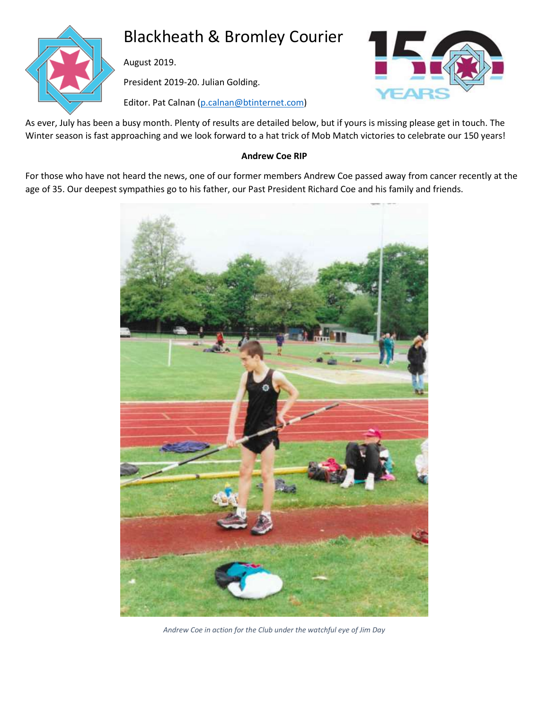

# Blackheath & Bromley Courier

August 2019.

President 2019-20. Julian Golding.





As ever, July has been a busy month. Plenty of results are detailed below, but if yours is missing please get in touch. The Winter season is fast approaching and we look forward to a hat trick of Mob Match victories to celebrate our 150 years!

# **Andrew Coe RIP**

For those who have not heard the news, one of our former members Andrew Coe passed away from cancer recently at the age of 35. Our deepest sympathies go to his father, our Past President Richard Coe and his family and friends.



*Andrew Coe in action for the Club under the watchful eye of Jim Day*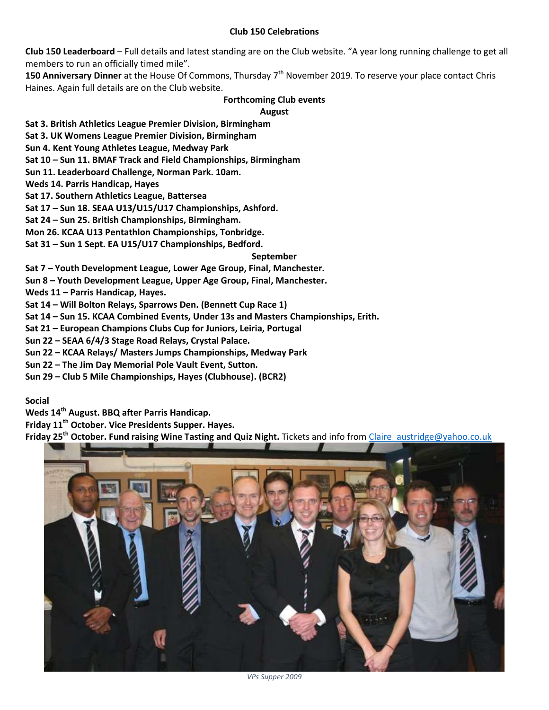#### **Club 150 Celebrations**

**Club 150 Leaderboard** – Full details and latest standing are on the Club website. "A year long running challenge to get all members to run an officially timed mile".

**150 Anniversary Dinner** at the House Of Commons, Thursday 7<sup>th</sup> November 2019. To reserve your place contact Chris Haines. Again full details are on the Club website.

#### **Forthcoming Club events**

**August**

**Sat 3. British Athletics League Premier Division, Birmingham**

**Sat 3. UK Womens League Premier Division, Birmingham**

**Sun 4. Kent Young Athletes League, Medway Park**

**Sat 10 – Sun 11. BMAF Track and Field Championships, Birmingham**

**Sun 11. Leaderboard Challenge, Norman Park. 10am.**

**Weds 14. Parris Handicap, Hayes**

**Sat 17. Southern Athletics League, Battersea**

**Sat 17 – Sun 18. SEAA U13/U15/U17 Championships, Ashford.**

**Sat 24 – Sun 25. British Championships, Birmingham.**

**Mon 26. KCAA U13 Pentathlon Championships, Tonbridge.**

**Sat 31 – Sun 1 Sept. EA U15/U17 Championships, Bedford.**

#### **September**

**Sat 7 – Youth Development League, Lower Age Group, Final, Manchester.**

**Sun 8 – Youth Development League, Upper Age Group, Final, Manchester.**

**Weds 11 – Parris Handicap, Hayes.**

**Sat 14 – Will Bolton Relays, Sparrows Den. (Bennett Cup Race 1)**

**Sat 14 – Sun 15. KCAA Combined Events, Under 13s and Masters Championships, Erith.**

**Sat 21 – European Champions Clubs Cup for Juniors, Leiria, Portugal**

**Sun 22 – SEAA 6/4/3 Stage Road Relays, Crystal Palace.**

**Sun 22 – KCAA Relays/ Masters Jumps Championships, Medway Park**

**Sun 22 – The Jim Day Memorial Pole Vault Event, Sutton.**

**Sun 29 – Club 5 Mile Championships, Hayes (Clubhouse). (BCR2)**

#### **Social**

**Weds 14th August. BBQ after Parris Handicap.**

**Friday 11th October. Vice Presidents Supper. Hayes.**

**Friday 25 th October. Fund raising Wine Tasting and Quiz Night.** Tickets and info fro[m Claire\\_austridge@yahoo.co.uk](mailto:Claire_austridge@yahoo.co.uk)

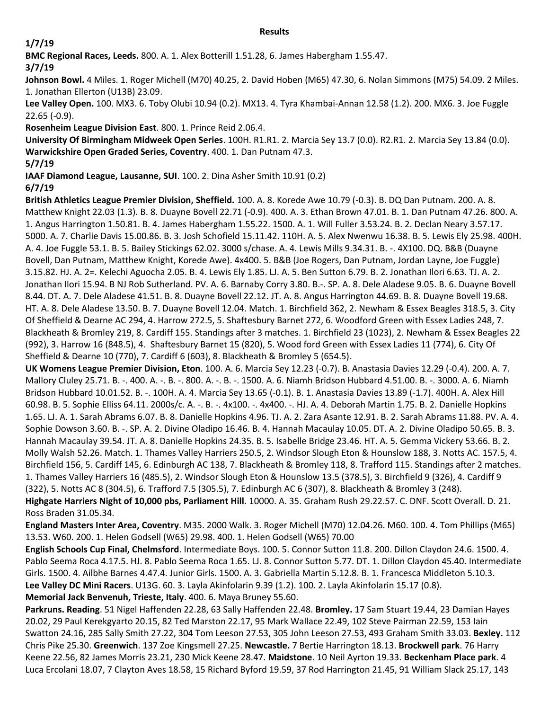#### **Results**

# **1/7/19**

**BMC Regional Races, Leeds.** 800. A. 1. Alex Botterill 1.51.28, 6. James Habergham 1.55.47.

**3/7/19**

**Johnson Bowl.** 4 Miles. 1. Roger Michell (M70) 40.25, 2. David Hoben (M65) 47.30, 6. Nolan Simmons (M75) 54.09. 2 Miles. 1. Jonathan Ellerton (U13B) 23.09.

**Lee Valley Open.** 100. MX3. 6. Toby Olubi 10.94 (0.2). MX13. 4. Tyra Khambai-Annan 12.58 (1.2). 200. MX6. 3. Joe Fuggle 22.65 (-0.9).

**Rosenheim League Division East**. 800. 1. Prince Reid 2.06.4.

**University Of Birmingham Midweek Open Series**. 100H. R1.R1. 2. Marcia Sey 13.7 (0.0). R2.R1. 2. Marcia Sey 13.84 (0.0). **Warwickshire Open Graded Series, Coventry**. 400. 1. Dan Putnam 47.3.

**5/7/19**

**IAAF Diamond League, Lausanne, SUI**. 100. 2. Dina Asher Smith 10.91 (0.2)

# **6/7/19**

**British Athletics League Premier Division, Sheffield.** 100. A. 8. Korede Awe 10.79 (-0.3). B. DQ Dan Putnam. 200. A. 8. Matthew Knight 22.03 (1.3). B. 8. Duayne Bovell 22.71 (-0.9). 400. A. 3. Ethan Brown 47.01. B. 1. Dan Putnam 47.26. 800. A. 1. Angus Harrington 1.50.81. B. 4. James Habergham 1.55.22. 1500. A. 1. Will Fuller 3.53.24. B. 2. Declan Neary 3.57.17. 5000. A. 7. Charlie Davis 15.00.86. B. 3. Josh Schofield 15.11.42. 110H. A. 5. Alex Nwenwu 16.38. B. 5. Lewis Ely 25.98. 400H. A. 4. Joe Fuggle 53.1. B. 5. Bailey Stickings 62.02. 3000 s/chase. A. 4. Lewis Mills 9.34.31. B. -. 4X100. DQ. B&B (Duayne Bovell, Dan Putnam, Matthew Knight, Korede Awe). 4x400. 5. B&B (Joe Rogers, Dan Putnam, Jordan Layne, Joe Fuggle) 3.15.82. HJ. A. 2=. Kelechi Aguocha 2.05. B. 4. Lewis Ely 1.85. LJ. A. 5. Ben Sutton 6.79. B. 2. Jonathan Ilori 6.63. TJ. A. 2. Jonathan Ilori 15.94. B NJ Rob Sutherland. PV. A. 6. Barnaby Corry 3.80. B.-. SP. A. 8. Dele Aladese 9.05. B. 6. Duayne Bovell 8.44. DT. A. 7. Dele Aladese 41.51. B. 8. Duayne Bovell 22.12. JT. A. 8. Angus Harrington 44.69. B. 8. Duayne Bovell 19.68. HT. A. 8. Dele Aladese 13.50. B. 7. Duayne Bovell 12.04. Match. 1. Birchfield 362, 2. Newham & Essex Beagles 318.5, 3. City Of Sheffield & Dearne AC 294, 4. Harrow 272.5, 5. Shaftesbury Barnet 272, 6. Woodford Green with Essex Ladies 248, 7. Blackheath & Bromley 219, 8. Cardiff 155. Standings after 3 matches. 1. Birchfield 23 (1023), 2. Newham & Essex Beagles 22 (992), 3. Harrow 16 (848.5), 4. Shaftesbury Barnet 15 (820), 5. Wood ford Green with Essex Ladies 11 (774), 6. City Of Sheffield & Dearne 10 (770), 7. Cardiff 6 (603), 8. Blackheath & Bromley 5 (654.5).

**UK Womens League Premier Division, Eton**. 100. A. 6. Marcia Sey 12.23 (-0.7). B. Anastasia Davies 12.29 (-0.4). 200. A. 7. Mallory Cluley 25.71. B. -. 400. A. -. B. -. 800. A. -. B. -. 1500. A. 6. Niamh Bridson Hubbard 4.51.00. B. -. 3000. A. 6. Niamh Bridson Hubbard 10.01.52. B. -. 100H. A. 4. Marcia Sey 13.65 (-0.1). B. 1. Anastasia Davies 13.89 (-1.7). 400H. A. Alex Hill 60.98. B. 5. Sophie Elliss 64.11. 2000s/c. A. -. B. -. 4x100. -. 4x400. -. HJ. A. 4. Deborah Martin 1.75. B. 2. Danielle Hopkins 1.65. LJ. A. 1. Sarah Abrams 6.07. B. 8. Danielle Hopkins 4.96. TJ. A. 2. Zara Asante 12.91. B. 2. Sarah Abrams 11.88. PV. A. 4. Sophie Dowson 3.60. B. -. SP. A. 2. Divine Oladipo 16.46. B. 4. Hannah Macaulay 10.05. DT. A. 2. Divine Oladipo 50.65. B. 3. Hannah Macaulay 39.54. JT. A. 8. Danielle Hopkins 24.35. B. 5. Isabelle Bridge 23.46. HT. A. 5. Gemma Vickery 53.66. B. 2. Molly Walsh 52.26. Match. 1. Thames Valley Harriers 250.5, 2. Windsor Slough Eton & Hounslow 188, 3. Notts AC. 157.5, 4. Birchfield 156, 5. Cardiff 145, 6. Edinburgh AC 138, 7. Blackheath & Bromley 118, 8. Trafford 115. Standings after 2 matches. 1. Thames Valley Harriers 16 (485.5), 2. Windsor Slough Eton & Hounslow 13.5 (378.5), 3. Birchfield 9 (326), 4. Cardiff 9 (322), 5. Notts AC 8 (304.5), 6. Trafford 7.5 (305.5), 7. Edinburgh AC 6 (307), 8. Blackheath & Bromley 3 (248). **Highgate Harriers Night of 10,000 pbs, Parliament Hill**. 10000. A. 35. Graham Rush 29.22.57. C. DNF. Scott Overall. D. 21. Ross Braden 31.05.34.

**England Masters Inter Area, Coventry**. M35. 2000 Walk. 3. Roger Michell (M70) 12.04.26. M60. 100. 4. Tom Phillips (M65) 13.53. W60. 200. 1. Helen Godsell (W65) 29.98. 400. 1. Helen Godsell (W65) 70.00

**English Schools Cup Final, Chelmsford**. Intermediate Boys. 100. 5. Connor Sutton 11.8. 200. Dillon Claydon 24.6. 1500. 4. Pablo Seema Roca 4.17.5. HJ. 8. Pablo Seema Roca 1.65. LJ. 8. Connor Sutton 5.77. DT. 1. Dillon Claydon 45.40. Intermediate Girls. 1500. 4. Ailbhe Barnes 4.47.4. Junior Girls. 1500. A. 3. Gabriella Martin 5.12.8. B. 1. Francesca Middleton 5.10.3. **Lee Valley DC Mini Racers**. U13G. 60. 3. Layla Akinfolarin 9.39 (1.2). 100. 2. Layla Akinfolarin 15.17 (0.8). **Memorial Jack Benvenuh, Trieste, Italy**. 400. 6. Maya Bruney 55.60.

**Parkruns. Reading**. 51 Nigel Haffenden 22.28, 63 Sally Haffenden 22.48. **Bromley.** 17 Sam Stuart 19.44, 23 Damian Hayes 20.02, 29 Paul Kerekgyarto 20.15, 82 Ted Marston 22.17, 95 Mark Wallace 22.49, 102 Steve Pairman 22.59, 153 Iain Swatton 24.16, 285 Sally Smith 27.22, 304 Tom Leeson 27.53, 305 John Leeson 27.53, 493 Graham Smith 33.03. **Bexley.** 112 Chris Pike 25.30. **Greenwich**. 137 Zoe Kingsmell 27.25. **Newcastle.** 7 Bertie Harrington 18.13. **Brockwell park**. 76 Harry Keene 22.56, 82 James Morris 23.21, 230 Mick Keene 28.47. **Maidstone**. 10 Neil Ayrton 19.33. **Beckenham Place park**. 4 Luca Ercolani 18.07, 7 Clayton Aves 18.58, 15 Richard Byford 19.59, 37 Rod Harrington 21.45, 91 William Slack 25.17, 143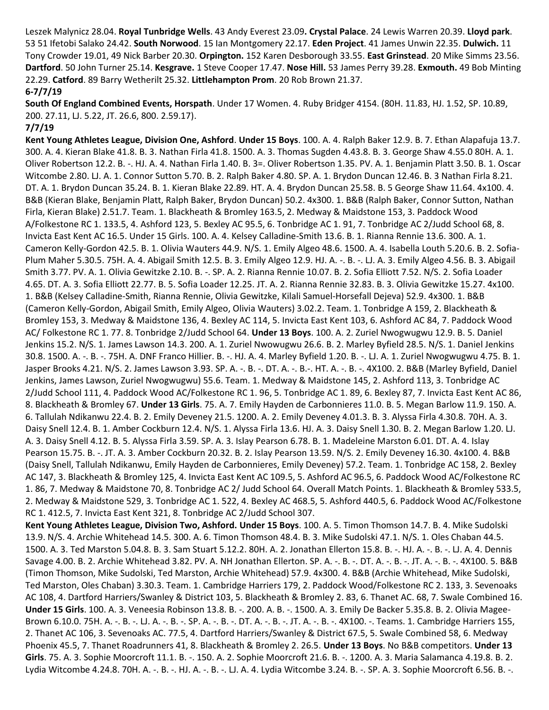Leszek Malynicz 28.04. **Royal Tunbridge Wells**. 43 Andy Everest 23.09**. Crystal Palace**. 24 Lewis Warren 20.39. **Lloyd park**. 53 51 Ifetobi Salako 24.42. **South Norwood**. 15 Ian Montgomery 22.17. **Eden Project**. 41 James Unwin 22.35. **Dulwich.** 11 Tony Crowder 19.01, 49 Nick Barber 20.30. **Orpington.** 152 Karen Desborough 33.55. **East Grinstead**. 20 Mike Simms 23.56. **Dartford**. 50 John Turner 25.14. **Kesgrave.** 1 Steve Cooper 17.47. **Nose Hill.** 53 James Perry 39.28. **Exmouth.** 49 Bob Minting 22.29. **Catford**. 89 Barry Wetherilt 25.32. **Littlehampton Prom**. 20 Rob Brown 21.37.

#### **6-7/7/19**

**South Of England Combined Events, Horspath**. Under 17 Women. 4. Ruby Bridger 4154. (80H. 11.83, HJ. 1.52, SP. 10.89, 200. 27.11, LJ. 5.22, JT. 26.6, 800. 2.59.17).

#### **7/7/19**

**Kent Young Athletes League, Division One, Ashford**. **Under 15 Boys**. 100. A. 4. Ralph Baker 12.9. B. 7. Ethan Alapafuja 13.7. 300. A. 4. Kieran Blake 41.8. B. 3. Nathan Firla 41.8. 1500. A. 3. Thomas Sugden 4.43.8. B. 3. George Shaw 4.55.0 80H. A. 1. Oliver Robertson 12.2. B. -. HJ. A. 4. Nathan Firla 1.40. B. 3=. Oliver Robertson 1.35. PV. A. 1. Benjamin Platt 3.50. B. 1. Oscar Witcombe 2.80. LJ. A. 1. Connor Sutton 5.70. B. 2. Ralph Baker 4.80. SP. A. 1. Brydon Duncan 12.46. B. 3 Nathan Firla 8.21. DT. A. 1. Brydon Duncan 35.24. B. 1. Kieran Blake 22.89. HT. A. 4. Brydon Duncan 25.58. B. 5 George Shaw 11.64. 4x100. 4. B&B (Kieran Blake, Benjamin Platt, Ralph Baker, Brydon Duncan) 50.2. 4x300. 1. B&B (Ralph Baker, Connor Sutton, Nathan Firla, Kieran Blake) 2.51.7. Team. 1. Blackheath & Bromley 163.5, 2. Medway & Maidstone 153, 3. Paddock Wood A/Folkestone RC 1. 133.5, 4. Ashford 123, 5. Bexley AC 95.5, 6. Tonbridge AC 1. 91, 7. Tonbridge AC 2/Judd School 68, 8. Invicta East Kent AC 16.5. Under 15 Girls. 100. A. 4. Kelsey Calladine-Smith 13.6. B. 1. Rianna Rennie 13.6. 300. A. 1. Cameron Kelly-Gordon 42.5. B. 1. Olivia Wauters 44.9. N/S. 1. Emily Algeo 48.6. 1500. A. 4. Isabella Louth 5.20.6. B. 2. Sofia-Plum Maher 5.30.5. 75H. A. 4. Abigail Smith 12.5. B. 3. Emily Algeo 12.9. HJ. A. -. B. -. LJ. A. 3. Emily Algeo 4.56. B. 3. Abigail Smith 3.77. PV. A. 1. Olivia Gewitzke 2.10. B. -. SP. A. 2. Rianna Rennie 10.07. B. 2. Sofia Elliott 7.52. N/S. 2. Sofia Loader 4.65. DT. A. 3. Sofia Elliott 22.77. B. 5. Sofia Loader 12.25. JT. A. 2. Rianna Rennie 32.83. B. 3. Olivia Gewitzke 15.27. 4x100. 1. B&B (Kelsey Calladine-Smith, Rianna Rennie, Olivia Gewitzke, Kilali Samuel-Horsefall Dejeva) 52.9. 4x300. 1. B&B (Cameron Kelly-Gordon, Abigail Smith, Emily Algeo, Olivia Wauters) 3.02.2. Team. 1. Tonbridge A 159, 2. Blackheath & Bromley 153, 3. Medway & Maidstone 136, 4. Bexley AC 114, 5. Invicta East Kent 103, 6. Ashford AC 84, 7. Paddock Wood AC/ Folkestone RC 1. 77. 8. Tonbridge 2/Judd School 64. **Under 13 Boys**. 100. A. 2. Zuriel Nwogwugwu 12.9. B. 5. Daniel Jenkins 15.2. N/S. 1. James Lawson 14.3. 200. A. 1. Zuriel Nwowugwu 26.6. B. 2. Marley Byfield 28.5. N/S. 1. Daniel Jenkins 30.8. 1500. A. -. B. -. 75H. A. DNF Franco Hillier. B. -. HJ. A. 4. Marley Byfield 1.20. B. -. LJ. A. 1. Zuriel Nwogwugwu 4.75. B. 1. Jasper Brooks 4.21. N/S. 2. James Lawson 3.93. SP. A. -. B. -. DT. A. -. B.-. HT. A. -. B. -. 4X100. 2. B&B (Marley Byfield, Daniel Jenkins, James Lawson, Zuriel Nwogwugwu) 55.6. Team. 1. Medway & Maidstone 145, 2. Ashford 113, 3. Tonbridge AC 2/Judd School 111, 4. Paddock Wood AC/Folkestone RC 1. 96, 5. Tonbridge AC 1. 89, 6. Bexley 87, 7. Invicta East Kent AC 86, 8. Blackheath & Bromley 67. **Under 13 Girls**. 75. A. 7. Emily Hayden de Carbonnieres 11.0. B. 5. Megan Barlow 11.9. 150. A. 6. Tallulah Ndikanwu 22.4. B. 2. Emily Deveney 21.5. 1200. A. 2. Emily Deveney 4.01.3. B. 3. Alyssa Firla 4.30.8. 70H. A. 3. Daisy Snell 12.4. B. 1. Amber Cockburn 12.4. N/S. 1. Alyssa Firla 13.6. HJ. A. 3. Daisy Snell 1.30. B. 2. Megan Barlow 1.20. LJ. A. 3. Daisy Snell 4.12. B. 5. Alyssa Firla 3.59. SP. A. 3. Islay Pearson 6.78. B. 1. Madeleine Marston 6.01. DT. A. 4. Islay Pearson 15.75. B. -. JT. A. 3. Amber Cockburn 20.32. B. 2. Islay Pearson 13.59. N/S. 2. Emily Deveney 16.30. 4x100. 4. B&B (Daisy Snell, Tallulah Ndikanwu, Emily Hayden de Carbonnieres, Emily Deveney) 57.2. Team. 1. Tonbridge AC 158, 2. Bexley AC 147, 3. Blackheath & Bromley 125, 4. Invicta East Kent AC 109.5, 5. Ashford AC 96.5, 6. Paddock Wood AC/Folkestone RC 1. 86, 7. Medway & Maidstone 70, 8. Tonbridge AC 2/ Judd School 64. Overall Match Points. 1. Blackheath & Bromley 533.5, 2. Medway & Maidstone 529, 3. Tonbridge AC 1. 522, 4. Bexley AC 468.5, 5. Ashford 440.5, 6. Paddock Wood AC/Folkestone RC 1. 412.5, 7. Invicta East Kent 321, 8. Tonbridge AC 2/Judd School 307.

**Kent Young Athletes League, Division Two, Ashford. Under 15 Boys**. 100. A. 5. Timon Thomson 14.7. B. 4. Mike Sudolski 13.9. N/S. 4. Archie Whitehead 14.5. 300. A. 6. Timon Thomson 48.4. B. 3. Mike Sudolski 47.1. N/S. 1. Oles Chaban 44.5. 1500. A. 3. Ted Marston 5.04.8. B. 3. Sam Stuart 5.12.2. 80H. A. 2. Jonathan Ellerton 15.8. B. -. HJ. A. -. B. -. LJ. A. 4. Dennis Savage 4.00. B. 2. Archie Whitehead 3.82. PV. A. NH Jonathan Ellerton. SP. A. -. B. -. DT. A. -. B. -. JT. A. -. B. -. 4X100. 5. B&B (Timon Thomson, Mike Sudolski, Ted Marston, Archie Whitehead) 57.9. 4x300. 4. B&B (Archie Whitehead, Mike Sudolski, Ted Marston, Oles Chaban) 3.30.3. Team. 1. Cambridge Harriers 179, 2. Paddock Wood/Folkestone RC 2. 133, 3. Sevenoaks AC 108, 4. Dartford Harriers/Swanley & District 103, 5. Blackheath & Bromley 2. 83, 6. Thanet AC. 68, 7. Swale Combined 16. **Under 15 Girls**. 100. A. 3. Veneesia Robinson 13.8. B. -. 200. A. B. -. 1500. A. 3. Emily De Backer 5.35.8. B. 2. Olivia Magee-Brown 6.10.0. 75H. A. -. B. -. LJ. A. -. B. -. SP. A. -. B. -. DT. A. -. B. -. JT. A. -. B. -. 4X100. -. Teams. 1. Cambridge Harriers 155, 2. Thanet AC 106, 3. Sevenoaks AC. 77.5, 4. Dartford Harriers/Swanley & District 67.5, 5. Swale Combined 58, 6. Medway Phoenix 45.5, 7. Thanet Roadrunners 41, 8. Blackheath & Bromley 2. 26.5. **Under 13 Boys**. No B&B competitors. **Under 13 Girls**. 75. A. 3. Sophie Moorcroft 11.1. B. -. 150. A. 2. Sophie Moorcroft 21.6. B. -. 1200. A. 3. Maria Salamanca 4.19.8. B. 2. Lydia Witcombe 4.24.8. 70H. A. -. B. -. HJ. A. -. B. -. LJ. A. 4. Lydia Witcombe 3.24. B. -. SP. A. 3. Sophie Moorcroft 6.56. B. -.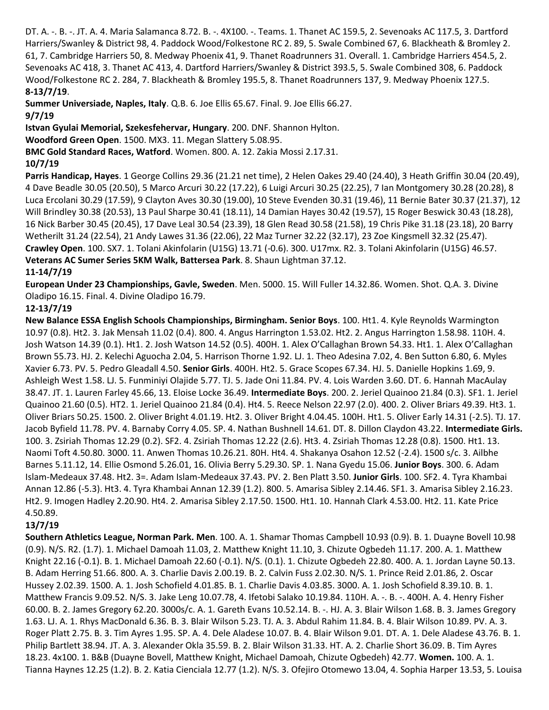DT. A. -. B. -. JT. A. 4. Maria Salamanca 8.72. B. -. 4X100. -. Teams. 1. Thanet AC 159.5, 2. Sevenoaks AC 117.5, 3. Dartford Harriers/Swanley & District 98, 4. Paddock Wood/Folkestone RC 2. 89, 5. Swale Combined 67, 6. Blackheath & Bromley 2. 61, 7. Cambridge Harriers 50, 8. Medway Phoenix 41, 9. Thanet Roadrunners 31. Overall. 1. Cambridge Harriers 454.5, 2. Sevenoaks AC 418, 3. Thanet AC 413, 4. Dartford Harriers/Swanley & District 393.5, 5. Swale Combined 308, 6. Paddock Wood/Folkestone RC 2. 284, 7. Blackheath & Bromley 195.5, 8. Thanet Roadrunners 137, 9. Medway Phoenix 127.5. **8-13/7/19**.

**Summer Universiade, Naples, Italy**. Q.B. 6. Joe Ellis 65.67. Final. 9. Joe Ellis 66.27. **9/7/19**

**Istvan Gyulai Memorial, Szekesfehervar, Hungary**. 200. DNF. Shannon Hylton.

**Woodford Green Open**. 1500. MX3. 11. Megan Slattery 5.08.95.

**BMC Gold Standard Races, Watford**. Women. 800. A. 12. Zakia Mossi 2.17.31.

# **10/7/19**

**Parris Handicap, Hayes**. 1 George Collins 29.36 (21.21 net time), 2 Helen Oakes 29.40 (24.40), 3 Heath Griffin 30.04 (20.49), 4 Dave Beadle 30.05 (20.50), 5 Marco Arcuri 30.22 (17.22), 6 Luigi Arcuri 30.25 (22.25), 7 Ian Montgomery 30.28 (20.28), 8 Luca Ercolani 30.29 (17.59), 9 Clayton Aves 30.30 (19.00), 10 Steve Evenden 30.31 (19.46), 11 Bernie Bater 30.37 (21.37), 12 Will Brindley 30.38 (20.53), 13 Paul Sharpe 30.41 (18.11), 14 Damian Hayes 30.42 (19.57), 15 Roger Beswick 30.43 (18.28), 16 Nick Barber 30.45 (20.45), 17 Dave Leal 30.54 (23.39), 18 Glen Read 30.58 (21.58), 19 Chris Pike 31.18 (23.18), 20 Barry Wetherilt 31.24 (22.54), 21 Andy Lawes 31.36 (22.06), 22 Maz Turner 32.22 (32.17), 23 Zoe Kingsmell 32.32 (25.47). **Crawley Open**. 100. SX7. 1. Tolani Akinfolarin (U15G) 13.71 (-0.6). 300. U17mx. R2. 3. Tolani Akinfolarin (U15G) 46.57. **Veterans AC Sumer Series 5KM Walk, Battersea Park**. 8. Shaun Lightman 37.12. **11-14/7/19**

**European Under 23 Championships, Gavle, Sweden**. Men. 5000. 15. Will Fuller 14.32.86. Women. Shot. Q.A. 3. Divine Oladipo 16.15. Final. 4. Divine Oladipo 16.79.

# **12-13/7/19**

**New Balance ESSA English Schools Championships, Birmingham. Senior Boys**. 100. Ht1. 4. Kyle Reynolds Warmington 10.97 (0.8). Ht2. 3. Jak Mensah 11.02 (0.4). 800. 4. Angus Harrington 1.53.02. Ht2. 2. Angus Harrington 1.58.98. 110H. 4. Josh Watson 14.39 (0.1). Ht1. 2. Josh Watson 14.52 (0.5). 400H. 1. Alex O'Callaghan Brown 54.33. Ht1. 1. Alex O'Callaghan Brown 55.73. HJ. 2. Kelechi Aguocha 2.04, 5. Harrison Thorne 1.92. LJ. 1. Theo Adesina 7.02, 4. Ben Sutton 6.80, 6. Myles Xavier 6.73. PV. 5. Pedro Gleadall 4.50. **Senior Girls**. 400H. Ht2. 5. Grace Scopes 67.34. HJ. 5. Danielle Hopkins 1.69, 9. Ashleigh West 1.58. LJ. 5. Funminiyi Olajide 5.77. TJ. 5. Jade Oni 11.84. PV. 4. Lois Warden 3.60. DT. 6. Hannah MacAulay 38.47. JT. 1. Lauren Farley 45.66, 13. Eloise Locke 36.49. **Intermediate Boys**. 200. 2. Jeriel Quainoo 21.84 (0.3). SF1. 1. Jeriel Quainoo 21.60 (0.5). HT2. 1. Jeriel Quainoo 21.84 (0.4). Ht4. 5. Reece Nelson 22.97 (2.0). 400. 2. Oliver Briars 49.39. Ht3. 1. Oliver Briars 50.25. 1500. 2. Oliver Bright 4.01.19. Ht2. 3. Oliver Bright 4.04.45. 100H. Ht1. 5. Oliver Early 14.31 (-2.5). TJ. 17. Jacob Byfield 11.78. PV. 4. Barnaby Corry 4.05. SP. 4. Nathan Bushnell 14.61. DT. 8. Dillon Claydon 43.22. **Intermediate Girls.** 100. 3. Zsiriah Thomas 12.29 (0.2). SF2. 4. Zsiriah Thomas 12.22 (2.6). Ht3. 4. Zsiriah Thomas 12.28 (0.8). 1500. Ht1. 13. Naomi Toft 4.50.80. 3000. 11. Anwen Thomas 10.26.21. 80H. Ht4. 4. Shakanya Osahon 12.52 (-2.4). 1500 s/c. 3. Ailbhe Barnes 5.11.12, 14. Ellie Osmond 5.26.01, 16. Olivia Berry 5.29.30. SP. 1. Nana Gyedu 15.06. **Junior Boys**. 300. 6. Adam Islam-Medeaux 37.48. Ht2. 3=. Adam Islam-Medeaux 37.43. PV. 2. Ben Platt 3.50. **Junior Girls**. 100. SF2. 4. Tyra Khambai Annan 12.86 (-5.3). Ht3. 4. Tyra Khambai Annan 12.39 (1.2). 800. 5. Amarisa Sibley 2.14.46. SF1. 3. Amarisa Sibley 2.16.23. Ht2. 9. Imogen Hadley 2.20.90. Ht4. 2. Amarisa Sibley 2.17.50. 1500. Ht1. 10. Hannah Clark 4.53.00. Ht2. 11. Kate Price 4.50.89.

# **13/7/19**

**Southern Athletics League, Norman Park. Men**. 100. A. 1. Shamar Thomas Campbell 10.93 (0.9). B. 1. Duayne Bovell 10.98 (0.9). N/S. R2. (1.7). 1. Michael Damoah 11.03, 2. Matthew Knight 11.10, 3. Chizute Ogbedeh 11.17. 200. A. 1. Matthew Knight 22.16 (-0.1). B. 1. Michael Damoah 22.60 (-0.1). N/S. (0.1). 1. Chizute Ogbedeh 22.80. 400. A. 1. Jordan Layne 50.13. B. Adam Herring 51.66. 800. A. 3. Charlie Davis 2.00.19. B. 2. Calvin Fuss 2.02.30. N/S. 1. Prince Reid 2.01.86, 2. Oscar Hussey 2.02.39. 1500. A. 1. Josh Schofield 4.01.85. B. 1. Charlie Davis 4.03.85. 3000. A. 1. Josh Schofield 8.39.10. B. 1. Matthew Francis 9.09.52. N/S. 3. Jake Leng 10.07.78, 4. Ifetobi Salako 10.19.84. 110H. A. -. B. -. 400H. A. 4. Henry Fisher 60.00. B. 2. James Gregory 62.20. 3000s/c. A. 1. Gareth Evans 10.52.14. B. -. HJ. A. 3. Blair Wilson 1.68. B. 3. James Gregory 1.63. LJ. A. 1. Rhys MacDonald 6.36. B. 3. Blair Wilson 5.23. TJ. A. 3. Abdul Rahim 11.84. B. 4. Blair Wilson 10.89. PV. A. 3. Roger Platt 2.75. B. 3. Tim Ayres 1.95. SP. A. 4. Dele Aladese 10.07. B. 4. Blair Wilson 9.01. DT. A. 1. Dele Aladese 43.76. B. 1. Philip Bartlett 38.94. JT. A. 3. Alexander Okla 35.59. B. 2. Blair Wilson 31.33. HT. A. 2. Charlie Short 36.09. B. Tim Ayres 18.23. 4x100. 1. B&B (Duayne Bovell, Matthew Knight, Michael Damoah, Chizute Ogbedeh) 42.77. **Women.** 100. A. 1. Tianna Haynes 12.25 (1.2). B. 2. Katia Cienciala 12.77 (1.2). N/S. 3. Ofejiro Otomewo 13.04, 4. Sophia Harper 13.53, 5. Louisa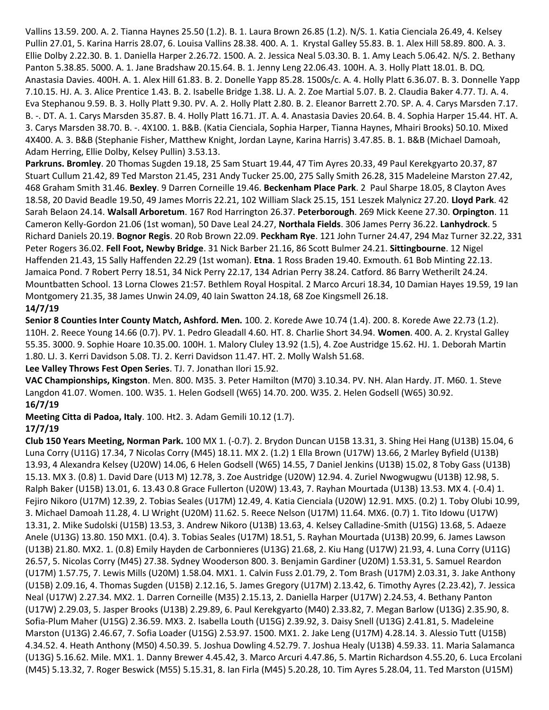Vallins 13.59. 200. A. 2. Tianna Haynes 25.50 (1.2). B. 1. Laura Brown 26.85 (1.2). N/S. 1. Katia Cienciala 26.49, 4. Kelsey Pullin 27.01, 5. Karina Harris 28.07, 6. Louisa Vallins 28.38. 400. A. 1. Krystal Galley 55.83. B. 1. Alex Hill 58.89. 800. A. 3. Ellie Dolby 2.22.30. B. 1. Daniella Harper 2.26.72. 1500. A. 2. Jessica Neal 5.03.30. B. 1. Amy Leach 5.06.42. N/S. 2. Bethany Panton 5.38.85. 5000. A. 1. Jane Bradshaw 20.15.64. B. 1. Jenny Leng 22.06.43. 100H. A. 3. Holly Platt 18.01. B. DQ. Anastasia Davies. 400H. A. 1. Alex Hill 61.83. B. 2. Donelle Yapp 85.28. 1500s/c. A. 4. Holly Platt 6.36.07. B. 3. Donnelle Yapp 7.10.15. HJ. A. 3. Alice Prentice 1.43. B. 2. Isabelle Bridge 1.38. LJ. A. 2. Zoe Martial 5.07. B. 2. Claudia Baker 4.77. TJ. A. 4. Eva Stephanou 9.59. B. 3. Holly Platt 9.30. PV. A. 2. Holly Platt 2.80. B. 2. Eleanor Barrett 2.70. SP. A. 4. Carys Marsden 7.17. B. -. DT. A. 1. Carys Marsden 35.87. B. 4. Holly Platt 16.71. JT. A. 4. Anastasia Davies 20.64. B. 4. Sophia Harper 15.44. HT. A. 3. Carys Marsden 38.70. B. -. 4X100. 1. B&B. (Katia Cienciala, Sophia Harper, Tianna Haynes, Mhairi Brooks) 50.10. Mixed 4X400. A. 3. B&B (Stephanie Fisher, Matthew Knight, Jordan Layne, Karina Harris) 3.47.85. B. 1. B&B (Michael Damoah, Adam Herring, Ellie Dolby, Kelsey Pullin) 3.53.13.

**Parkruns. Bromley**. 20 Thomas Sugden 19.18, 25 Sam Stuart 19.44, 47 Tim Ayres 20.33, 49 Paul Kerekgyarto 20.37, 87 Stuart Cullum 21.42, 89 Ted Marston 21.45, 231 Andy Tucker 25.00, 275 Sally Smith 26.28, 315 Madeleine Marston 27.42, 468 Graham Smith 31.46. **Bexley**. 9 Darren Corneille 19.46. **Beckenham Place Park**. 2 Paul Sharpe 18.05, 8 Clayton Aves 18.58, 20 David Beadle 19.50, 49 James Morris 22.21, 102 William Slack 25.15, 151 Leszek Malynicz 27.20. **Lloyd Park**. 42 Sarah Belaon 24.14. **Walsall Arboretum**. 167 Rod Harrington 26.37. **Peterborough**. 269 Mick Keene 27.30. **Orpington**. 11 Cameron Kelly-Gordon 21.06 (1st woman), 50 Dave Leal 24.27, **Northala Fields**. 306 James Perry 36.22. **Lanhydrock**. 5 Richard Daniels 20.19. **Bognor Regis**. 20 Rob Brown 22.09. **Peckham Rye**. 121 John Turner 24.47, 294 Maz Turner 32.22, 331 Peter Rogers 36.02. **Fell Foot, Newby Bridge**. 31 Nick Barber 21.16, 86 Scott Bulmer 24.21. **Sittingbourne**. 12 Nigel Haffenden 21.43, 15 Sally Haffenden 22.29 (1st woman). **Etna**. 1 Ross Braden 19.40. Exmouth. 61 Bob Minting 22.13. Jamaica Pond. 7 Robert Perry 18.51, 34 Nick Perry 22.17, 134 Adrian Perry 38.24. Catford. 86 Barry Wetherilt 24.24. Mountbatten School. 13 Lorna Clowes 21:57. Bethlem Royal Hospital. 2 Marco Arcuri 18.34, 10 Damian Hayes 19.59, 19 Ian Montgomery 21.35, 38 James Unwin 24.09, 40 Iain Swatton 24.18, 68 Zoe Kingsmell 26.18. **14/7/19**

**Senior 8 Counties Inter County Match, Ashford. Men.** 100. 2. Korede Awe 10.74 (1.4). 200. 8. Korede Awe 22.73 (1.2). 110H. 2. Reece Young 14.66 (0.7). PV. 1. Pedro Gleadall 4.60. HT. 8. Charlie Short 34.94. **Women**. 400. A. 2. Krystal Galley 55.35. 3000. 9. Sophie Hoare 10.35.00. 100H. 1. Malory Cluley 13.92 (1.5), 4. Zoe Austridge 15.62. HJ. 1. Deborah Martin 1.80. LJ. 3. Kerri Davidson 5.08. TJ. 2. Kerri Davidson 11.47. HT. 2. Molly Walsh 51.68.

**Lee Valley Throws Fest Open Series**. TJ. 7. Jonathan Ilori 15.92.

**VAC Championships, Kingston**. Men. 800. M35. 3. Peter Hamilton (M70) 3.10.34. PV. NH. Alan Hardy. JT. M60. 1. Steve Langdon 41.07. Women. 100. W35. 1. Helen Godsell (W65) 14.70. 200. W35. 2. Helen Godsell (W65) 30.92. **16/7/19**

**Meeting Citta di Padoa, Italy**. 100. Ht2. 3. Adam Gemili 10.12 (1.7).

# **17/7/19**

**Club 150 Years Meeting, Norman Park.** 100 MX 1. (-0.7). 2. Brydon Duncan U15B 13.31, 3. Shing Hei Hang (U13B) 15.04, 6 Luna Corry (U11G) 17.34, 7 Nicolas Corry (M45) 18.11. MX 2. (1.2) 1 Ella Brown (U17W) 13.66, 2 Marley Byfield (U13B) 13.93, 4 Alexandra Kelsey (U20W) 14.06, 6 Helen Godsell (W65) 14.55, 7 Daniel Jenkins (U13B) 15.02, 8 Toby Gass (U13B) 15.13. MX 3. (0.8) 1. David Dare (U13 M) 12.78, 3. Zoe Austridge (U20W) 12.94. 4. Zuriel Nwogwugwu (U13B) 12.98, 5. Ralph Baker (U15B) 13.01, 6. 13.43 0.8 Grace Fullerton (U20W) 13.43, 7. Rayhan Mourtada (U13B) 13.53. MX 4. (-0.4) 1. Fejiro Nikoro (U17M) 12.39, 2. Tobias Seales (U17M) 12.49, 4. Katia Cienciala (U20W) 12.91. MX5. (0.2) 1. Toby Olubi 10.99, 3. Michael Damoah 11.28, 4. LJ Wright (U20M) 11.62. 5. Reece Nelson (U17M) 11.64. MX6. (0.7) 1. Tito Idowu (U17W) 13.31, 2. Mike Sudolski (U15B) 13.53, 3. Andrew Nikoro (U13B) 13.63, 4. Kelsey Calladine-Smith (U15G) 13.68, 5. Adaeze Anele (U13G) 13.80. 150 MX1. (0.4). 3. Tobias Seales (U17M) 18.51, 5. Rayhan Mourtada (U13B) 20.99, 6. James Lawson (U13B) 21.80. MX2. 1. (0.8) Emily Hayden de Carbonnieres (U13G) 21.68, 2. Kiu Hang (U17W) 21.93, 4. Luna Corry (U11G) 26.57, 5. Nicolas Corry (M45) 27.38. Sydney Wooderson 800. 3. Benjamin Gardiner (U20M) 1.53.31, 5. Samuel Reardon (U17M) 1.57.75, 7. Lewis Mills (U20M) 1.58.04. MX1. 1. Calvin Fuss 2.01.79, 2. Tom Brash (U17M) 2.03.31, 3. Jake Anthony (U15B) 2.09.16, 4. Thomas Sugden (U15B) 2.12.16, 5. James Gregory (U17M) 2.13.42, 6. Timothy Ayres (2.23.42), 7. Jessica Neal (U17W) 2.27.34. MX2. 1. Darren Corneille (M35) 2.15.13, 2. Daniella Harper (U17W) 2.24.53, 4. Bethany Panton (U17W) 2.29.03, 5. Jasper Brooks (U13B) 2.29.89, 6. Paul Kerekgyarto (M40) 2.33.82, 7. Megan Barlow (U13G) 2.35.90, 8. Sofia-Plum Maher (U15G) 2.36.59. MX3. 2. Isabella Louth (U15G) 2.39.92, 3. Daisy Snell (U13G) 2.41.81, 5. Madeleine Marston (U13G) 2.46.67, 7. Sofia Loader (U15G) 2.53.97. 1500. MX1. 2. Jake Leng (U17M) 4.28.14. 3. Alessio Tutt (U15B) 4.34.52. 4. Heath Anthony (M50) 4.50.39. 5. Joshua Dowling 4.52.79. 7. Joshua Healy (U13B) 4.59.33. 11. Maria Salamanca (U13G) 5.16.62. Mile. MX1. 1. Danny Brewer 4.45.42, 3. Marco Arcuri 4.47.86, 5. Martin Richardson 4.55.20, 6. Luca Ercolani (M45) 5.13.32, 7. Roger Beswick (M55) 5.15.31, 8. Ian Firla (M45) 5.20.28, 10. Tim Ayres 5.28.04, 11. Ted Marston (U15M)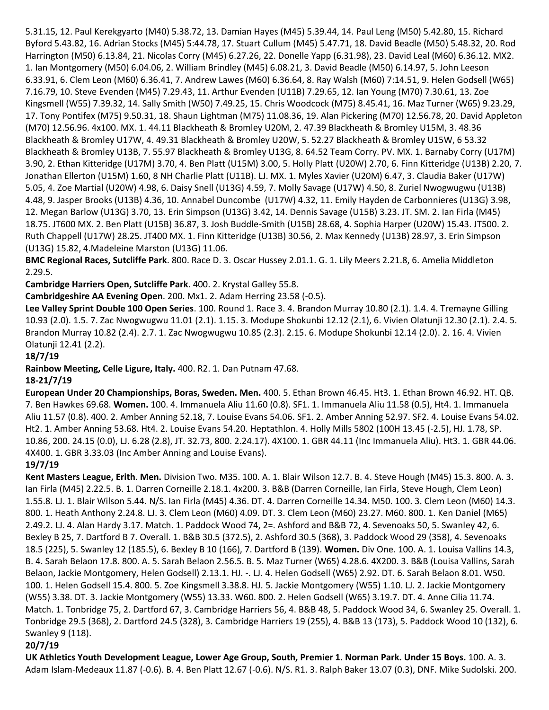5.31.15, 12. Paul Kerekgyarto (M40) 5.38.72, 13. Damian Hayes (M45) 5.39.44, 14. Paul Leng (M50) 5.42.80, 15. Richard Byford 5.43.82, 16. Adrian Stocks (M45) 5:44.78, 17. Stuart Cullum (M45) 5.47.71, 18. David Beadle (M50) 5.48.32, 20. Rod Harrington (M50) 6.13.84, 21. Nicolas Corry (M45) 6.27.26, 22. Donelle Yapp (6.31.98), 23. David Leal (M60) 6.36.12. MX2. 1. Ian Montgomery (M50) 6.04.06, 2. William Brindley (M45) 6.08.21, 3. David Beadle (M50) 6.14.97, 5. John Leeson 6.33.91, 6. Clem Leon (M60) 6.36.41, 7. Andrew Lawes (M60) 6.36.64, 8. Ray Walsh (M60) 7:14.51, 9. Helen Godsell (W65) 7.16.79, 10. Steve Evenden (M45) 7.29.43, 11. Arthur Evenden (U11B) 7.29.65, 12. Ian Young (M70) 7.30.61, 13. Zoe Kingsmell (W55) 7.39.32, 14. Sally Smith (W50) 7.49.25, 15. Chris Woodcock (M75) 8.45.41, 16. Maz Turner (W65) 9.23.29, 17. Tony Pontifex (M75) 9.50.31, 18. Shaun Lightman (M75) 11.08.36, 19. Alan Pickering (M70) 12.56.78, 20. David Appleton (M70) 12.56.96. 4x100. MX. 1. 44.11 Blackheath & Bromley U20M, 2. 47.39 Blackheath & Bromley U15M, 3. 48.36 Blackheath & Bromley U17W, 4. 49.31 Blackheath & Bromley U20W, 5. 52.27 Blackheath & Bromley U15W, 6 53.32 Blackheath & Bromley U13B, 7. 55.97 Blackheath & Bromley U13G, 8. 64.52 Team Corry. PV. MX. 1. Barnaby Corry (U17M) 3.90, 2. Ethan Kitteridge (U17M) 3.70, 4. Ben Platt (U15M) 3.00, 5. Holly Platt (U20W) 2.70, 6. Finn Kitteridge (U13B) 2.20, 7. Jonathan Ellerton (U15M) 1.60, 8 NH Charlie Platt (U11B). LJ. MX. 1. Myles Xavier (U20M) 6.47, 3. Claudia Baker (U17W) 5.05, 4. Zoe Martial (U20W) 4.98, 6. Daisy Snell (U13G) 4.59, 7. Molly Savage (U17W) 4.50, 8. Zuriel Nwogwugwu (U13B) 4.48, 9. Jasper Brooks (U13B) 4.36, 10. Annabel Duncombe (U17W) 4.32, 11. Emily Hayden de Carbonnieres (U13G) 3.98, 12. Megan Barlow (U13G) 3.70, 13. Erin Simpson (U13G) 3.42, 14. Dennis Savage (U15B) 3.23. JT. SM. 2. Ian Firla (M45) 18.75. JT600 MX. 2. Ben Platt (U15B) 36.87, 3. Josh Buddle-Smith (U15B) 28.68, 4. Sophia Harper (U20W) 15.43. JT500. 2. Ruth Chappell (U17W) 28.25. JT400 MX. 1. Finn Kitteridge (U13B) 30.56, 2. Max Kennedy (U13B) 28.97, 3. Erin Simpson (U13G) 15.82, 4.Madeleine Marston (U13G) 11.06.

**BMC Regional Races, Sutcliffe Park**. 800. Race D. 3. Oscar Hussey 2.01.1. G. 1. Lily Meers 2.21.8, 6. Amelia Middleton 2.29.5.

**Cambridge Harriers Open, Sutcliffe Park**. 400. 2. Krystal Galley 55.8.

**Cambridgeshire AA Evening Open**. 200. Mx1. 2. Adam Herring 23.58 (-0.5).

**Lee Valley Sprint Double 100 Open Series**. 100. Round 1. Race 3. 4. Brandon Murray 10.80 (2.1). 1.4. 4. Tremayne Gilling 10.93 (2.0). 1.5. 7. Zac Nwogwugwu 11.01 (2.1). 1.15. 3. Modupe Shokunbi 12.12 (2.1), 6. Vivien Olatunji 12.30 (2.1). 2.4. 5. Brandon Murray 10.82 (2.4). 2.7. 1. Zac Nwogwugwu 10.85 (2.3). 2.15. 6. Modupe Shokunbi 12.14 (2.0). 2. 16. 4. Vivien Olatunji 12.41 (2.2).

### **18/7/19**

**Rainbow Meeting, Celle Ligure, Italy.** 400. R2. 1. Dan Putnam 47.68.

#### **18-21/7/19**

**European Under 20 Championships, Boras, Sweden. Men.** 400. 5. Ethan Brown 46.45. Ht3. 1. Ethan Brown 46.92. HT. QB. 7. Ben Hawkes 69.68. **Women.** 100. 4. Immanuela Aliu 11.60 (0.8). SF1. 1. Immanuela Aliu 11.58 (0.5), Ht4. 1. Immanuela Aliu 11.57 (0.8). 400. 2. Amber Anning 52.18, 7. Louise Evans 54.06. SF1. 2. Amber Anning 52.97. SF2. 4. Louise Evans 54.02. Ht2. 1. Amber Anning 53.68. Ht4. 2. Louise Evans 54.20. Heptathlon. 4. Holly Mills 5802 (100H 13.45 (-2.5), HJ. 1.78, SP. 10.86, 200. 24.15 (0.0), LJ. 6.28 (2.8), JT. 32.73, 800. 2.24.17). 4X100. 1. GBR 44.11 (Inc Immanuela Aliu). Ht3. 1. GBR 44.06. 4X400. 1. GBR 3.33.03 (Inc Amber Anning and Louise Evans).

# **19/7/19**

**Kent Masters League, Erith**. **Men.** Division Two. M35. 100. A. 1. Blair Wilson 12.7. B. 4. Steve Hough (M45) 15.3. 800. A. 3. Ian Firla (M45) 2.22.5. B. 1. Darren Corneille 2.18.1. 4x200. 3. B&B (Darren Corneille, Ian Firla, Steve Hough, Clem Leon) 1.55.8. LJ. 1. Blair Wilson 5.44. N/S. Ian Firla (M45) 4.36. DT. 4. Darren Corneille 14.34. M50. 100. 3. Clem Leon (M60) 14.3. 800. 1. Heath Anthony 2.24.8. LJ. 3. Clem Leon (M60) 4.09. DT. 3. Clem Leon (M60) 23.27. M60. 800. 1. Ken Daniel (M65) 2.49.2. LJ. 4. Alan Hardy 3.17. Match. 1. Paddock Wood 74, 2=. Ashford and B&B 72, 4. Sevenoaks 50, 5. Swanley 42, 6. Bexley B 25, 7. Dartford B 7. Overall. 1. B&B 30.5 (372.5), 2. Ashford 30.5 (368), 3. Paddock Wood 29 (358), 4. Sevenoaks 18.5 (225), 5. Swanley 12 (185.5), 6. Bexley B 10 (166), 7. Dartford B (139). **Women.** Div One. 100. A. 1. Louisa Vallins 14.3, B. 4. Sarah Belaon 17.8. 800. A. 5. Sarah Belaon 2.56.5. B. 5. Maz Turner (W65) 4.28.6. 4X200. 3. B&B (Louisa Vallins, Sarah Belaon, Jackie Montgomery, Helen Godsell) 2.13.1. HJ. -. LJ. 4. Helen Godsell (W65) 2.92. DT. 6. Sarah Belaon 8.01. W50. 100. 1. Helen Godsell 15.4. 800. 5. Zoe Kingsmell 3.38.8. HJ. 5. Jackie Montgomery (W55) 1.10. LJ. 2. Jackie Montgomery (W55) 3.38. DT. 3. Jackie Montgomery (W55) 13.33. W60. 800. 2. Helen Godsell (W65) 3.19.7. DT. 4. Anne Cilia 11.74. Match. 1. Tonbridge 75, 2. Dartford 67, 3. Cambridge Harriers 56, 4. B&B 48, 5. Paddock Wood 34, 6. Swanley 25. Overall. 1. Tonbridge 29.5 (368), 2. Dartford 24.5 (328), 3. Cambridge Harriers 19 (255), 4. B&B 13 (173), 5. Paddock Wood 10 (132), 6. Swanley 9 (118).

# **20/7/19**

**UK Athletics Youth Development League, Lower Age Group, South, Premier 1. Norman Park. Under 15 Boys.** 100. A. 3. Adam Islam-Medeaux 11.87 (-0.6). B. 4. Ben Platt 12.67 (-0.6). N/S. R1. 3. Ralph Baker 13.07 (0.3), DNF. Mike Sudolski. 200.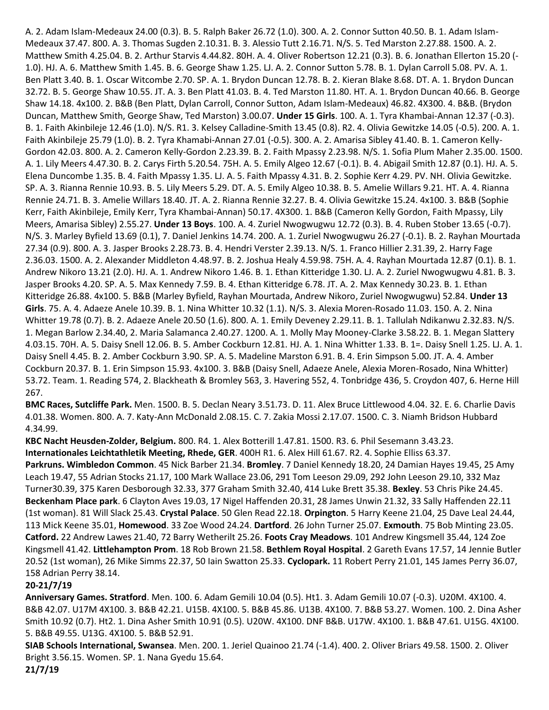A. 2. Adam Islam-Medeaux 24.00 (0.3). B. 5. Ralph Baker 26.72 (1.0). 300. A. 2. Connor Sutton 40.50. B. 1. Adam Islam-Medeaux 37.47. 800. A. 3. Thomas Sugden 2.10.31. B. 3. Alessio Tutt 2.16.71. N/S. 5. Ted Marston 2.27.88. 1500. A. 2. Matthew Smith 4.25.04. B. 2. Arthur Starvis 4.44.82. 80H. A. 4. Oliver Robertson 12.21 (0.3). B. 6. Jonathan Ellerton 15.20 (- 1.0). HJ. A. 6. Matthew Smith 1.45. B. 6. George Shaw 1.25. LJ. A. 2. Connor Sutton 5.78. B. 1. Dylan Carroll 5.08. PV. A. 1. Ben Platt 3.40. B. 1. Oscar Witcombe 2.70. SP. A. 1. Brydon Duncan 12.78. B. 2. Kieran Blake 8.68. DT. A. 1. Brydon Duncan 32.72. B. 5. George Shaw 10.55. JT. A. 3. Ben Platt 41.03. B. 4. Ted Marston 11.80. HT. A. 1. Brydon Duncan 40.66. B. George Shaw 14.18. 4x100. 2. B&B (Ben Platt, Dylan Carroll, Connor Sutton, Adam Islam-Medeaux) 46.82. 4X300. 4. B&B. (Brydon Duncan, Matthew Smith, George Shaw, Ted Marston) 3.00.07. **Under 15 Girls**. 100. A. 1. Tyra Khambai-Annan 12.37 (-0.3). B. 1. Faith Akinbileje 12.46 (1.0). N/S. R1. 3. Kelsey Calladine-Smith 13.45 (0.8). R2. 4. Olivia Gewitzke 14.05 (-0.5). 200. A. 1. Faith Akinbileje 25.79 (1.0). B. 2. Tyra Khamabi-Annan 27.01 (-0.5). 300. A. 2. Amarisa Sibley 41.40. B. 1. Cameron Kelly-Gordon 42.03. 800. A. 2. Cameron Kelly-Gordon 2.23.39. B. 2. Faith Mpassy 2.23.98. N/S. 1. Sofia Plum Maher 2.35.00. 1500. A. 1. Lily Meers 4.47.30. B. 2. Carys Firth 5.20.54. 75H. A. 5. Emily Algeo 12.67 (-0.1). B. 4. Abigail Smith 12.87 (0.1). HJ. A. 5. Elena Duncombe 1.35. B. 4. Faith Mpassy 1.35. LJ. A. 5. Faith Mpassy 4.31. B. 2. Sophie Kerr 4.29. PV. NH. Olivia Gewitzke. SP. A. 3. Rianna Rennie 10.93. B. 5. Lily Meers 5.29. DT. A. 5. Emily Algeo 10.38. B. 5. Amelie Willars 9.21. HT. A. 4. Rianna Rennie 24.71. B. 3. Amelie Willars 18.40. JT. A. 2. Rianna Rennie 32.27. B. 4. Olivia Gewitzke 15.24. 4x100. 3. B&B (Sophie Kerr, Faith Akinbileje, Emily Kerr, Tyra Khambai-Annan) 50.17. 4X300. 1. B&B (Cameron Kelly Gordon, Faith Mpassy, Lily Meers, Amarisa Sibley) 2.55.27. **Under 13 Boys**. 100. A. 4. Zuriel Nwogwugwu 12.72 (0.3). B. 4. Ruben Stober 13.65 (-0.7). N/S. 3. Marley Byfield 13.69 (0.1), 7. Daniel Jenkins 14.74. 200. A. 1. Zuriel Nwogwugwu 26.27 (-0.1). B. 2. Rayhan Mourtada 27.34 (0.9). 800. A. 3. Jasper Brooks 2.28.73. B. 4. Hendri Verster 2.39.13. N/S. 1. Franco Hillier 2.31.39, 2. Harry Fage 2.36.03. 1500. A. 2. Alexander Middleton 4.48.97. B. 2. Joshua Healy 4.59.98. 75H. A. 4. Rayhan Mourtada 12.87 (0.1). B. 1. Andrew Nikoro 13.21 (2.0). HJ. A. 1. Andrew Nikoro 1.46. B. 1. Ethan Kitteridge 1.30. LJ. A. 2. Zuriel Nwogwugwu 4.81. B. 3. Jasper Brooks 4.20. SP. A. 5. Max Kennedy 7.59. B. 4. Ethan Kitteridge 6.78. JT. A. 2. Max Kennedy 30.23. B. 1. Ethan Kitteridge 26.88. 4x100. 5. B&B (Marley Byfield, Rayhan Mourtada, Andrew Nikoro, Zuriel Nwogwugwu) 52.84. **Under 13 Girls**. 75. A. 4. Adaeze Anele 10.39. B. 1. Nina Whitter 10.32 (1.1). N/S. 3. Alexia Moren-Rosado 11.03. 150. A. 2. Nina Whitter 19.78 (0.7). B. 2. Adaeze Anele 20.50 (1.6). 800. A. 1. Emily Deveney 2.29.11. B. 1. Tallulah Ndikanwu 2.32.83. N/S. 1. Megan Barlow 2.34.40, 2. Maria Salamanca 2.40.27. 1200. A. 1. Molly May Mooney-Clarke 3.58.22. B. 1. Megan Slattery 4.03.15. 70H. A. 5. Daisy Snell 12.06. B. 5. Amber Cockburn 12.81. HJ. A. 1. Nina Whitter 1.33. B. 1=. Daisy Snell 1.25. LJ. A. 1. Daisy Snell 4.45. B. 2. Amber Cockburn 3.90. SP. A. 5. Madeline Marston 6.91. B. 4. Erin Simpson 5.00. JT. A. 4. Amber Cockburn 20.37. B. 1. Erin Simpson 15.93. 4x100. 3. B&B (Daisy Snell, Adaeze Anele, Alexia Moren-Rosado, Nina Whitter) 53.72. Team. 1. Reading 574, 2. Blackheath & Bromley 563, 3. Havering 552, 4. Tonbridge 436, 5. Croydon 407, 6. Herne Hill 267.

**BMC Races, Sutcliffe Park.** Men. 1500. B. 5. Declan Neary 3.51.73. D. 11. Alex Bruce Littlewood 4.04. 32. E. 6. Charlie Davis 4.01.38. Women. 800. A. 7. Katy-Ann McDonald 2.08.15. C. 7. Zakia Mossi 2.17.07. 1500. C. 3. Niamh Bridson Hubbard 4.34.99.

**KBC Nacht Heusden-Zolder, Belgium.** 800. R4. 1. Alex Botterill 1.47.81. 1500. R3. 6. Phil Sesemann 3.43.23. **Internationales Leichtathletik Meeting, Rhede, GER**. 400H R1. 6. Alex Hill 61.67. R2. 4. Sophie Elliss 63.37. **Parkruns. Wimbledon Common**. 45 Nick Barber 21.34. **Bromley**. 7 Daniel Kennedy 18.20, 24 Damian Hayes 19.45, 25 Amy Leach 19.47, 55 Adrian Stocks 21.17, 100 Mark Wallace 23.06, 291 Tom Leeson 29.09, 292 John Leeson 29.10, 332 Maz Turner30.39, 375 Karen Desborough 32.33, 377 Graham Smith 32.40, 414 Luke Brett 35.38. **Bexley**. 53 Chris Pike 24.45. **Beckenham Place park**. 6 Clayton Aves 19.03, 17 Nigel Haffenden 20.31, 28 James Unwin 21.32, 33 Sally Haffenden 22.11 (1st woman). 81 Will Slack 25.43. **Crystal Palace**. 50 Glen Read 22.18. **Orpington**. 5 Harry Keene 21.04, 25 Dave Leal 24.44, 113 Mick Keene 35.01, **Homewood**. 33 Zoe Wood 24.24. **Dartford**. 26 John Turner 25.07. **Exmouth**. 75 Bob Minting 23.05. **Catford.** 22 Andrew Lawes 21.40, 72 Barry Wetherilt 25.26. **Foots Cray Meadows**. 101 Andrew Kingsmell 35.44, 124 Zoe Kingsmell 41.42. **Littlehampton Prom**. 18 Rob Brown 21.58. **Bethlem Royal Hospital**. 2 Gareth Evans 17.57, 14 Jennie Butler 20.52 (1st woman), 26 Mike Simms 22.37, 50 Iain Swatton 25.33. **Cyclopark.** 11 Robert Perry 21.01, 145 James Perry 36.07, 158 Adrian Perry 38.14.

#### **20-21/7/19**

**Anniversary Games. Stratford**. Men. 100. 6. Adam Gemili 10.04 (0.5). Ht1. 3. Adam Gemili 10.07 (-0.3). U20M. 4X100. 4. B&B 42.07. U17M 4X100. 3. B&B 42.21. U15B. 4X100. 5. B&B 45.86. U13B. 4X100. 7. B&B 53.27. Women. 100. 2. Dina Asher Smith 10.92 (0.7). Ht2. 1. Dina Asher Smith 10.91 (0.5). U20W. 4X100. DNF B&B. U17W. 4X100. 1. B&B 47.61. U15G. 4X100. 5. B&B 49.55. U13G. 4X100. 5. B&B 52.91.

**SIAB Schools International, Swansea**. Men. 200. 1. Jeriel Quainoo 21.74 (-1.4). 400. 2. Oliver Briars 49.58. 1500. 2. Oliver Bright 3.56.15. Women. SP. 1. Nana Gyedu 15.64. **21/7/19**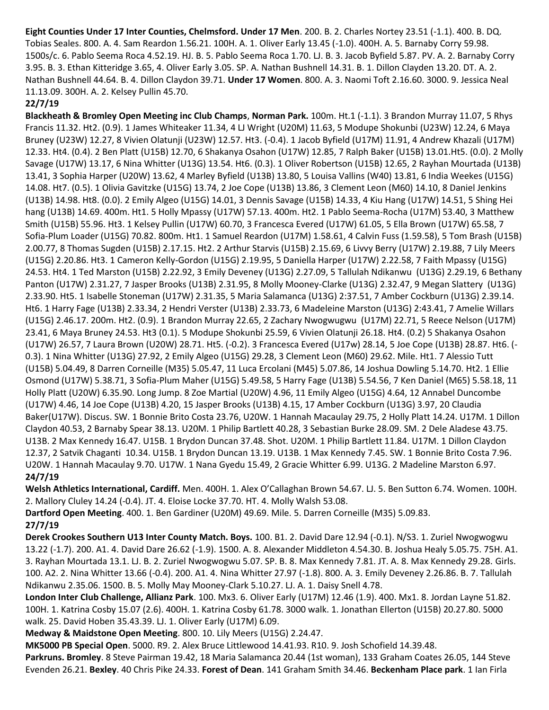**Eight Counties Under 17 Inter Counties, Chelmsford. Under 17 Men**. 200. B. 2. Charles Nortey 23.51 (-1.1). 400. B. DQ. Tobias Seales. 800. A. 4. Sam Reardon 1.56.21. 100H. A. 1. Oliver Early 13.45 (-1.0). 400H. A. 5. Barnaby Corry 59.98. 1500s/c. 6. Pablo Seema Roca 4.52.19. HJ. B. 5. Pablo Seema Roca 1.70. LJ. B. 3. Jacob Byfield 5.87. PV. A. 2. Barnaby Corry 3.95. B. 3. Ethan Kitteridge 3.65, 4. Oliver Early 3.05. SP. A. Nathan Bushnell 14.31. B. 1. Dillon Clayden 13.20. DT. A. 2. Nathan Bushnell 44.64. B. 4. Dillon Claydon 39.71. **Under 17 Women**. 800. A. 3. Naomi Toft 2.16.60. 3000. 9. Jessica Neal 11.13.09. 300H. A. 2. Kelsey Pullin 45.70.

#### **22/7/19**

**Blackheath & Bromley Open Meeting inc Club Champs**, **Norman Park.** 100m. Ht.1 (-1.1). 3 Brandon Murray 11.07, 5 Rhys Francis 11.32. Ht2. (0.9). 1 James Whiteaker 11.34, 4 LJ Wright (U20M) 11.63, 5 Modupe Shokunbi (U23W) 12.24, 6 Maya Bruney (U23W) 12.27, 8 Vivien Olatunji (U23W) 12.57. Ht3. (-0.4). 1 Jacob Byfield (U17M) 11.91, 4 Andrew Khazali (U17M) 12.33. Ht4. (0.4). 2 Ben Platt (U15B) 12.70, 6 Shakanya Osahon (U17W) 12.85, 7 Ralph Baker (U15B) 13.01.Ht5. (0.0). 2 Molly Savage (U17W) 13.17, 6 Nina Whitter (U13G) 13.54. Ht6. (0.3). 1 Oliver Robertson (U15B) 12.65, 2 Rayhan Mourtada (U13B) 13.41, 3 Sophia Harper (U20W) 13.62, 4 Marley Byfield (U13B) 13.80, 5 Louisa Vallins (W40) 13.81, 6 India Weekes (U15G) 14.08. Ht7. (0.5). 1 Olivia Gavitzke (U15G) 13.74, 2 Joe Cope (U13B) 13.86, 3 Clement Leon (M60) 14.10, 8 Daniel Jenkins (U13B) 14.98. Ht8. (0.0). 2 Emily Algeo (U15G) 14.01, 3 Dennis Savage (U15B) 14.33, 4 Kiu Hang (U17W) 14.51, 5 Shing Hei hang (U13B) 14.69. 400m. Ht1. 5 Holly Mpassy (U17W) 57.13. 400m. Ht2. 1 Pablo Seema-Rocha (U17M) 53.40, 3 Matthew Smith (U15B) 55.96. Ht3. 1 Kelsey Pullin (U17W) 60.70, 3 Francesca Evered (U17W) 61.05, 5 Ella Brown (U17W) 65.58, 7 Sofia-Plum Loader (U15G) 70.82. 800m. Ht1. 1 Samuel Reardon (U17M) 1.58.61, 4 Calvin Fuss (1.59.58), 5 Tom Brash (U15B) 2.00.77, 8 Thomas Sugden (U15B) 2.17.15. Ht2. 2 Arthur Starvis (U15B) 2.15.69, 6 Livvy Berry (U17W) 2.19.88, 7 Lily Meers (U15G) 2.20.86. Ht3. 1 Cameron Kelly-Gordon (U15G) 2.19.95, 5 Daniella Harper (U17W) 2.22.58, 7 Faith Mpassy (U15G) 24.53. Ht4. 1 Ted Marston (U15B) 2.22.92, 3 Emily Deveney (U13G) 2.27.09, 5 Tallulah Ndikanwu (U13G) 2.29.19, 6 Bethany Panton (U17W) 2.31.27, 7 Jasper Brooks (U13B) 2.31.95, 8 Molly Mooney-Clarke (U13G) 2.32.47, 9 Megan Slattery (U13G) 2.33.90. Ht5. 1 Isabelle Stoneman (U17W) 2.31.35, 5 Maria Salamanca (U13G) 2:37.51, 7 Amber Cockburn (U13G) 2.39.14. Ht6. 1 Harry Fage (U13B) 2.33.34, 2 Hendri Verster (U13B) 2.33.73, 6 Madeleine Marston (U13G) 2:43.41, 7 Amelie Willars (U15G) 2.46.17. 200m. Ht2. (0.9). 1 Brandon Murray 22.65, 2 Zachary Nwogwugwu (U17M) 22.71, 5 Reece Nelson (U17M) 23.41, 6 Maya Bruney 24.53. Ht3 (0.1). 5 Modupe Shokunbi 25.59, 6 Vivien Olatunji 26.18. Ht4. (0.2) 5 Shakanya Osahon (U17W) 26.57, 7 Laura Brown (U20W) 28.71. Ht5. (-0.2). 3 Francesca Evered (U17w) 28.14, 5 Joe Cope (U13B) 28.87. Ht6. (- 0.3). 1 Nina Whitter (U13G) 27.92, 2 Emily Algeo (U15G) 29.28, 3 Clement Leon (M60) 29.62. Mile. Ht1. 7 Alessio Tutt (U15B) 5.04.49, 8 Darren Corneille (M35) 5.05.47, 11 Luca Ercolani (M45) 5.07.86, 14 Joshua Dowling 5.14.70. Ht2. 1 Ellie Osmond (U17W) 5.38.71, 3 Sofia-Plum Maher (U15G) 5.49.58, 5 Harry Fage (U13B) 5.54.56, 7 Ken Daniel (M65) 5.58.18, 11 Holly Platt (U20W) 6.35.90. Long Jump. 8 Zoe Martial (U20W) 4.96, 11 Emily Algeo (U15G) 4.64, 12 Annabel Duncombe (U17W) 4.46, 14 Joe Cope (U13B) 4.20, 15 Jasper Brooks (U13B) 4.15, 17 Amber Cockburn (U13G) 3.97, 20 Claudia Baker(U17W). Discus. SW. 1 Bonnie Brito Costa 23.76, U20W. 1 Hannah Macaulay 29.75, 2 Holly Platt 14.24. U17M. 1 Dillon Claydon 40.53, 2 Barnaby Spear 38.13. U20M. 1 Philip Bartlett 40.28, 3 Sebastian Burke 28.09. SM. 2 Dele Aladese 43.75. U13B. 2 Max Kennedy 16.47. U15B. 1 Brydon Duncan 37.48. Shot. U20M. 1 Philip Bartlett 11.84. U17M. 1 Dillon Claydon 12.37, 2 Satvik Chaganti 10.34. U15B. 1 Brydon Duncan 13.19. U13B. 1 Max Kennedy 7.45. SW. 1 Bonnie Brito Costa 7.96. U20W. 1 Hannah Macaulay 9.70. U17W. 1 Nana Gyedu 15.49, 2 Gracie Whitter 6.99. U13G. 2 Madeline Marston 6.97. **24/7/19**

**Welsh Athletics International, Cardiff.** Men. 400H. 1. Alex O'Callaghan Brown 54.67. LJ. 5. Ben Sutton 6.74. Women. 100H. 2. Mallory Cluley 14.24 (-0.4). JT. 4. Eloise Locke 37.70. HT. 4. Molly Walsh 53.08.

**Dartford Open Meeting**. 400. 1. Ben Gardiner (U20M) 49.69. Mile. 5. Darren Corneille (M35) 5.09.83.

# **27/7/19**

**Derek Crookes Southern U13 Inter County Match. Boys.** 100. B1. 2. David Dare 12.94 (-0.1). N/S3. 1. Zuriel Nwogwogwu 13.22 (-1.7). 200. A1. 4. David Dare 26.62 (-1.9). 1500. A. 8. Alexander Middleton 4.54.30. B. Joshua Healy 5.05.75. 75H. A1. 3. Rayhan Mourtada 13.1. LJ. B. 2. Zuriel Nwogwogwu 5.07. SP. B. 8. Max Kennedy 7.81. JT. A. 8. Max Kennedy 29.28. Girls. 100. A2. 2. Nina Whitter 13.66 (-0.4). 200. A1. 4. Nina Whitter 27.97 (-1.8). 800. A. 3. Emily Deveney 2.26.86. B. 7. Tallulah Ndikanwu 2.35.06. 1500. B. 5. Molly May Mooney-Clark 5.10.27. LJ. A. 1. Daisy Snell 4.78.

**London Inter Club Challenge, Allianz Park**. 100. Mx3. 6. Oliver Early (U17M) 12.46 (1.9). 400. Mx1. 8. Jordan Layne 51.82. 100H. 1. Katrina Cosby 15.07 (2.6). 400H. 1. Katrina Cosby 61.78. 3000 walk. 1. Jonathan Ellerton (U15B) 20.27.80. 5000 walk. 25. David Hoben 35.43.39. LJ. 1. Oliver Early (U17M) 6.09.

**Medway & Maidstone Open Meeting**. 800. 10. Lily Meers (U15G) 2.24.47.

**MK5000 PB Special Open**. 5000. R9. 2. Alex Bruce Littlewood 14.41.93. R10. 9. Josh Schofield 14.39.48.

**Parkruns. Bromley**. 8 Steve Pairman 19.42, 18 Maria Salamanca 20.44 (1st woman), 133 Graham Coates 26.05, 144 Steve Evenden 26.21. **Bexley**. 40 Chris Pike 24.33. **Forest of Dean**. 141 Graham Smith 34.46. **Beckenham Place park**. 1 Ian Firla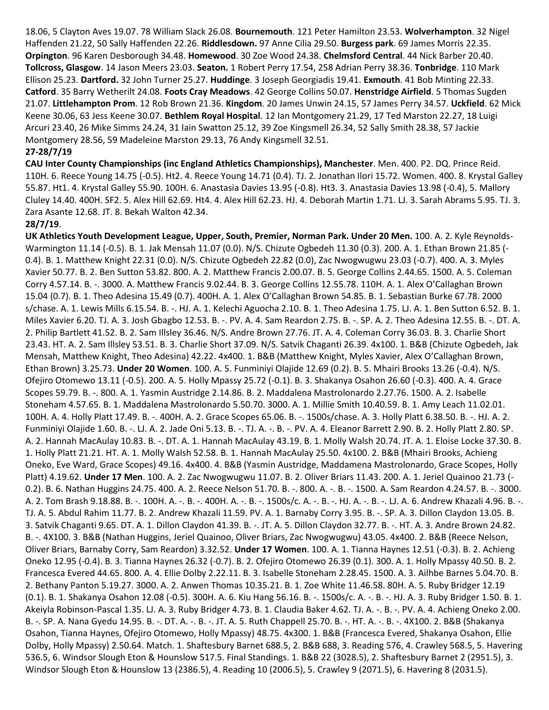18.06, 5 Clayton Aves 19.07. 78 William Slack 26.08. **Bournemouth**. 121 Peter Hamilton 23.53. **Wolverhampton**. 32 Nigel Haffenden 21.22, 50 Sally Haffenden 22.26. **Riddlesdown.** 97 Anne Cilia 29.50. **Burgess park**. 69 James Morris 22.35. **Orpington**. 96 Karen Desborough 34.48. **Homewood**. 30 Zoe Wood 24.38. **Chelmsford Central**. 44 Nick Barber 20.40. **Tollcross, Glasgow**. 14 Jason Meers 23.03. **Seaton.** 1 Robert Perry 17.54, 258 Adrian Perry 38.36. **Tonbridge**. 110 Mark Ellison 25.23. **Dartford.** 32 John Turner 25.27. **Huddinge**. 3 Joseph Georgiadis 19.41. **Exmouth**. 41 Bob Minting 22.33. **Catford**. 35 Barry Wetherilt 24.08. **Foots Cray Meadows**. 42 George Collins 50.07. **Henstridge Airfield**. 5 Thomas Sugden 21.07. **Littlehampton Prom**. 12 Rob Brown 21.36. **Kingdom**. 20 James Unwin 24.15, 57 James Perry 34.57. **Uckfield**. 62 Mick Keene 30.06, 63 Jess Keene 30.07. **Bethlem Royal Hospital**. 12 Ian Montgomery 21.29, 17 Ted Marston 22.27, 18 Luigi Arcuri 23.40, 26 Mike Simms 24.24, 31 Iain Swatton 25.12, 39 Zoe Kingsmell 26.34, 52 Sally Smith 28.38, 57 Jackie Montgomery 28.56, 59 Madeleine Marston 29.13, 76 Andy Kingsmell 32.51. **27-28/7/19**

**CAU Inter County Championships (inc England Athletics Championships), Manchester**. Men. 400. P2. DQ. Prince Reid. 110H. 6. Reece Young 14.75 (-0.5). Ht2. 4. Reece Young 14.71 (0.4). TJ. 2. Jonathan Ilori 15.72. Women. 400. 8. Krystal Galley 55.87. Ht1. 4. Krystal Galley 55.90. 100H. 6. Anastasia Davies 13.95 (-0.8). Ht3. 3. Anastasia Davies 13.98 (-0.4), 5. Mallory Cluley 14.40. 400H. SF2. 5. Alex Hill 62.69. Ht4. 4. Alex Hill 62.23. HJ. 4. Deborah Martin 1.71. LJ. 3. Sarah Abrams 5.95. TJ. 3. Zara Asante 12.68. JT. 8. Bekah Walton 42.34.

#### **28/7/19**.

**UK Athletics Youth Development League, Upper, South, Premier, Norman Park. Under 20 Men.** 100. A. 2. Kyle Reynolds-Warmington 11.14 (-0.5). B. 1. Jak Mensah 11.07 (0.0). N/S. Chizute Ogbedeh 11.30 (0.3). 200. A. 1. Ethan Brown 21.85 (- 0.4). B. 1. Matthew Knight 22.31 (0.0). N/S. Chizute Ogbedeh 22.82 (0.0), Zac Nwogwugwu 23.03 (-0.7). 400. A. 3. Myles Xavier 50.77. B. 2. Ben Sutton 53.82. 800. A. 2. Matthew Francis 2.00.07. B. 5. George Collins 2.44.65. 1500. A. 5. Coleman Corry 4.57.14. B. -. 3000. A. Matthew Francis 9.02.44. B. 3. George Collins 12.55.78. 110H. A. 1. Alex O'Callaghan Brown 15.04 (0.7). B. 1. Theo Adesina 15.49 (0.7). 400H. A. 1. Alex O'Callaghan Brown 54.85. B. 1. Sebastian Burke 67.78. 2000 s/chase. A. 1. Lewis Mills 6.15.54. B. -. HJ. A. 1. Kelechi Aguocha 2.10. B. 1. Theo Adesina 1.75. LJ. A. 1. Ben Sutton 6.52. B. 1. Miles Xavier 6.20. TJ. A. 3. Josh Gbagbo 12.53. B. -. PV. A. 4. Sam Reardon 2.75. B. -. SP. A. 2. Theo Adesina 12.55. B. -. DT. A. 2. Philip Bartlett 41.52. B. 2. Sam Illsley 36.46. N/S. Andre Brown 27.76. JT. A. 4. Coleman Corry 36.03. B. 3. Charlie Short 23.43. HT. A. 2. Sam Illsley 53.51. B. 3. Charlie Short 37.09. N/S. Satvik Chaganti 26.39. 4x100. 1. B&B (Chizute Ogbedeh, Jak Mensah, Matthew Knight, Theo Adesina) 42.22. 4x400. 1. B&B (Matthew Knight, Myles Xavier, Alex O'Callaghan Brown, Ethan Brown) 3.25.73. **Under 20 Women**. 100. A. 5. Funminiyi Olajide 12.69 (0.2). B. 5. Mhairi Brooks 13.26 (-0.4). N/S. Ofejiro Otomewo 13.11 (-0.5). 200. A. 5. Holly Mpassy 25.72 (-0.1). B. 3. Shakanya Osahon 26.60 (-0.3). 400. A. 4. Grace Scopes 59.79. B. -. 800. A. 1. Yasmin Austridge 2.14.86. B. 2. Maddalena Mastrolonardo 2.27.76. 1500. A. 2. Isabelle Stoneham 4.57.65. B. 1. Maddalena Mastrolonardo 5.50.70. 3000. A. 1. Millie Smith 10.40.59. B. 1. Amy Leach 11.02.01. 100H. A. 4. Holly Platt 17.49. B. -. 400H. A. 2. Grace Scopes 65.06. B. -. 1500s/chase. A. 3. Holly Platt 6.38.50. B. -. HJ. A. 2. Funminiyi Olajide 1.60. B. -. LJ. A. 2. Jade Oni 5.13. B. -. TJ. A. -. B. -. PV. A. 4. Eleanor Barrett 2.90. B. 2. Holly Platt 2.80. SP. A. 2. Hannah MacAulay 10.83. B. -. DT. A. 1. Hannah MacAulay 43.19. B. 1. Molly Walsh 20.74. JT. A. 1. Eloise Locke 37.30. B. 1. Holly Platt 21.21. HT. A. 1. Molly Walsh 52.58. B. 1. Hannah MacAulay 25.50. 4x100. 2. B&B (Mhairi Brooks, Achieng Oneko, Eve Ward, Grace Scopes) 49.16. 4x400. 4. B&B (Yasmin Austridge, Maddamena Mastrolonardo, Grace Scopes, Holly Platt) 4.19.62. **Under 17 Men**. 100. A. 2. Zac Nwogwugwu 11.07. B. 2. Oliver Briars 11.43. 200. A. 1. Jeriel Quainoo 21.73 (- 0.2). B. 6. Nathan Huggins 24.75. 400. A. 2. Reece Nelson 51.70. B. -. 800. A. -. B. -. 1500. A. Sam Reardon 4.24.57. B. -. 3000. A. 2. Tom Brash 9.18.88. B. -. 100H. A. -. B. -. 400H. A. -. B. -. 1500s/c. A. -. B. -. HJ. A. -. B. -. LJ. A. 6. Andrew Khazali 4.96. B. -. TJ. A. 5. Abdul Rahim 11.77. B. 2. Andrew Khazali 11.59. PV. A. 1. Barnaby Corry 3.95. B. -. SP. A. 3. Dillon Claydon 13.05. B. 3. Satvik Chaganti 9.65. DT. A. 1. Dillon Claydon 41.39. B. -. JT. A. 5. Dillon Claydon 32.77. B. -. HT. A. 3. Andre Brown 24.82. B. -. 4X100. 3. B&B (Nathan Huggins, Jeriel Quainoo, Oliver Briars, Zac Nwogwugwu) 43.05. 4x400. 2. B&B (Reece Nelson, Oliver Briars, Barnaby Corry, Sam Reardon) 3.32.52. **Under 17 Women**. 100. A. 1. Tianna Haynes 12.51 (-0.3). B. 2. Achieng Oneko 12.95 (-0.4). B. 3. Tianna Haynes 26.32 (-0.7). B. 2. Ofejiro Otomewo 26.39 (0.1). 300. A. 1. Holly Mpassy 40.50. B. 2. Francesca Evered 44.65. 800. A. 4. Ellie Dolby 2.22.11. B. 3. Isabelle Stoneham 2.28.45. 1500. A. 3. Ailhbe Barnes 5.04.70. B. 2. Bethany Panton 5.19.27. 3000. A. 2. Anwen Thomas 10.35.21. B. 1. Zoe White 11.46.58. 80H. A. 5. Ruby Bridger 12.19 (0.1). B. 1. Shakanya Osahon 12.08 (-0.5). 300H. A. 6. Kiu Hang 56.16. B. -. 1500s/c. A. -. B. -. HJ. A. 3. Ruby Bridger 1.50. B. 1. Akeiyla Robinson-Pascal 1.35. LJ. A. 3. Ruby Bridger 4.73. B. 1. Claudia Baker 4.62. TJ. A. -. B. -. PV. A. 4. Achieng Oneko 2.00. B. -. SP. A. Nana Gyedu 14.95. B. -. DT. A. -. B. -. JT. A. 5. Ruth Chappell 25.70. B. -. HT. A. -. B. -. 4X100. 2. B&B (Shakanya Osahon, Tianna Haynes, Ofejiro Otomewo, Holly Mpassy) 48.75. 4x300. 1. B&B (Francesca Evered, Shakanya Osahon, Ellie Dolby, Holly Mpassy) 2.50.64. Match. 1. Shaftesbury Barnet 688.5, 2. B&B 688, 3. Reading 576, 4. Crawley 568.5, 5. Havering 536.5, 6. Windsor Slough Eton & Hounslow 517.5. Final Standings. 1. B&B 22 (3028.5), 2. Shaftesbury Barnet 2 (2951.5), 3. Windsor Slough Eton & Hounslow 13 (2386.5), 4. Reading 10 (2006.5), 5. Crawley 9 (2071.5), 6. Havering 8 (2031.5).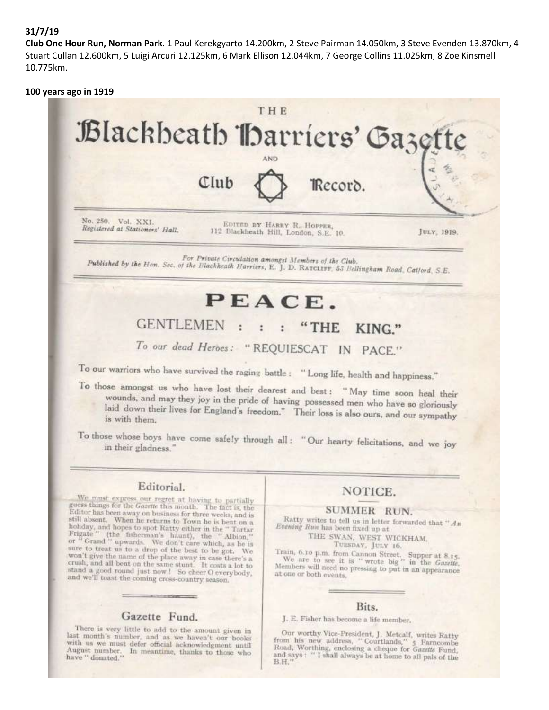#### **31/7/19**

**Club One Hour Run, Norman Park**. 1 Paul Kerekgyarto 14.200km, 2 Steve Pairman 14.050km, 3 Steve Evenden 13.870km, 4 Stuart Cullan 12.600km, 5 Luigi Arcuri 12.125km, 6 Mark Ellison 12.044km, 7 George Collins 11.025km, 8 Zoe Kinsmell 10.775km.

#### **100 years ago in 1919**



To those whose boys have come safely through all: "Our hearty felicitations, and we joy in their gladness."

#### Editorial.

We must express our regret at having to partially<br>guess things for the *Gasette* this month. The fact is, the<br>Editor has been away on business for three weeks, and is<br>still absent. When he returns to for three weeks, and i still absent. When he returns to Town he is bent on a standard and hopes to spot Ratty either in the "Tartar Frigate" (the fisherman's haunt), the "Albion,"<br>Frigate" (the fisherman's haunt), the "Albion,"<br>or "Grand" upwards. We don't care which, as he is<br>sure to treat us to won't give the name of the place away in case there's a crush, and all bent on the same stunt. It costs a lot to<br>stand a good round just now ! So cheer O everybody,<br>and we'll roast the and we'll toast the coming cross-country season.

#### Gazette Fund.

There is very little to add to the amount given in last month's number, and as we haven't our books with us we must defer official acknowledgment until August number. In meantime, thanks to those who have " donated."

# NOTICE.

#### SUMMER RUN.

Ratty writes to tell us in letter forwarded that " $An$ Evening Run has been fixed up at

THE SWAN, WEST WICKHAM. TUESDAY, JULY 16.

Train, 6.10 p.m. from Cannon Street. Supper at 8.15.<br>We are to see it is " wrote big" in the *Gazette*. Members will need no pressing to put in an appearance at one or both events,

#### Bits.

J. E. Fisher has become a life member.

Our worthy Vice-President, J. Metcalf, writes Ratty<br>from his new address, "Courtlands,"  $\frac{1}{2}$  Farncombe<br>Road, Worthing, enclosing a cheque for *Gaette* Fund,<br>and says: "I shall always be at heart of *all* and says: "I shall always be at home to all pals of the B.H."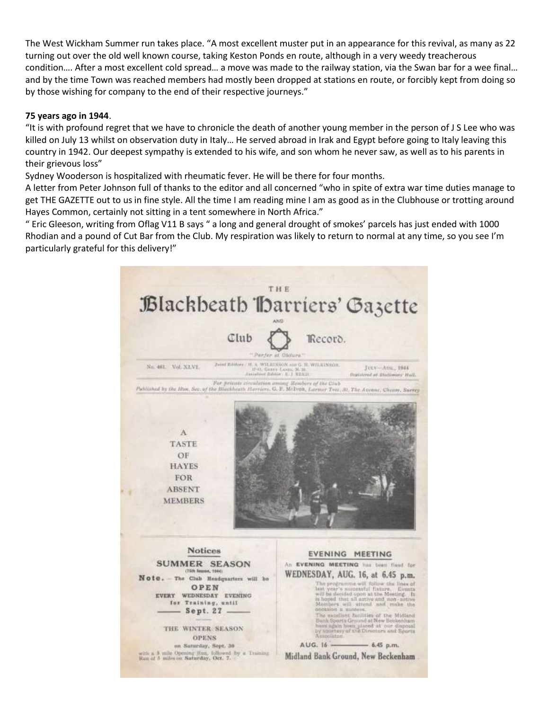The West Wickham Summer run takes place. "A most excellent muster put in an appearance for this revival, as many as 22 turning out over the old well known course, taking Keston Ponds en route, although in a very weedy treacherous condition…. After a most excellent cold spread… a move was made to the railway station, via the Swan bar for a wee final… and by the time Town was reached members had mostly been dropped at stations en route, or forcibly kept from doing so by those wishing for company to the end of their respective journeys."

#### **75 years ago in 1944**.

"It is with profound regret that we have to chronicle the death of another young member in the person of J S Lee who was killed on July 13 whilst on observation duty in Italy… He served abroad in Irak and Egypt before going to Italy leaving this country in 1942. Our deepest sympathy is extended to his wife, and son whom he never saw, as well as to his parents in their grievous loss"

Sydney Wooderson is hospitalized with rheumatic fever. He will be there for four months.

A letter from Peter Johnson full of thanks to the editor and all concerned "who in spite of extra war time duties manage to get THE GAZETTE out to us in fine style. All the time I am reading mine I am as good as in the Clubhouse or trotting around Hayes Common, certainly not sitting in a tent somewhere in North Africa."

" Eric Gleeson, writing from Oflag V11 B says " a long and general drought of smokes' parcels has just ended with 1000 Rhodian and a pound of Cut Bar from the Club. My respiration was likely to return to normal at any time, so you see I'm particularly grateful for this delivery!"

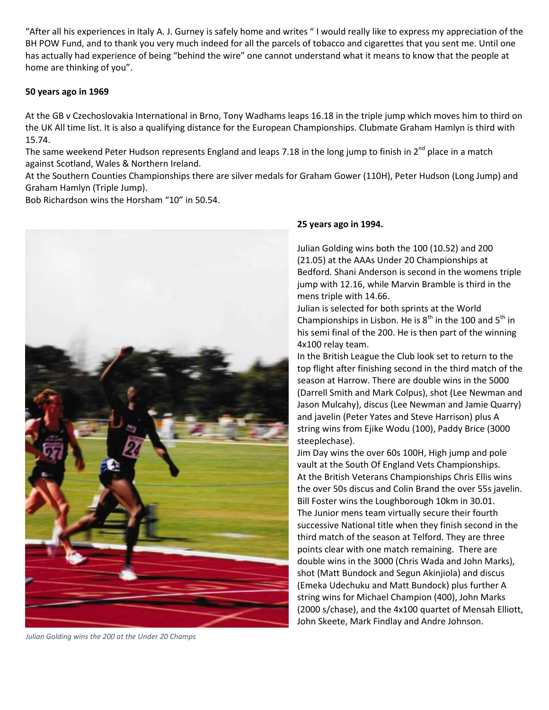"After all his experiences in Italy A. J. Gurney is safely home and writes " I would really like to express my appreciation of the BH POW Fund, and to thank you very much indeed for all the parcels of tobacco and cigarettes that you sent me. Until one has actually had experience of being "behind the wire" one cannot understand what it means to know that the people at home are thinking of you".

#### **50 years ago in 1969**

At the GB v Czechoslovakia International in Brno, Tony Wadhams leaps 16.18 in the triple jump which moves him to third on the UK All time list. It is also a qualifying distance for the European Championships. Clubmate Graham Hamlyn is third with 15.74.

The same weekend Peter Hudson represents England and leaps 7.18 in the long jump to finish in  $2^{nd}$  place in a match against Scotland, Wales & Northern Ireland.

At the Southern Counties Championships there are silver medals for Graham Gower (110H), Peter Hudson (Long Jump) and Graham Hamlyn (Triple Jump).

Bob Richardson wins the Horsham "10" in 50.54.



#### **25 years ago in 1994.**

Julian Golding wins both the 100 (10.52) and 200 (21.05) at the AAAs Under 20 Championships at Bedford. Shani Anderson is second in the womens triple jump with 12.16, while Marvin Bramble is third in the mens triple with 14.66.

Julian is selected for both sprints at the World Championships in Lisbon. He is  $8<sup>th</sup>$  in the 100 and  $5<sup>th</sup>$  in his semi final of the 200. He is then part of the winning 4x100 relay team.

In the British League the Club look set to return to the top flight after finishing second in the third match of the season at Harrow. There are double wins in the 5000 (Darrell Smith and Mark Colpus), shot (Lee Newman and Jason Mulcahy), discus (Lee Newman and Jamie Quarry) and javelin (Peter Yates and Steve Harrison) plus A string wins from Ejike Wodu (100), Paddy Brice (3000 steeplechase).

Jim Day wins the over 60s 100H, High jump and pole vault at the South Of England Vets Championships. At the British Veterans Championships Chris Ellis wins the over 50s discus and Colin Brand the over 55s javelin. Bill Foster wins the Loughborough 10km in 30.01. The Junior mens team virtually secure their fourth successive National title when they finish second in the third match of the season at Telford. They are three points clear with one match remaining. There are double wins in the 3000 (Chris Wada and John Marks), shot (Matt Bundock and Segun Akinjiola) and discus (Emeka Udechuku and Matt Bundock) plus further A string wins for Michael Champion (400), John Marks (2000 s/chase), and the 4x100 quartet of Mensah Elliott, John Skeete, Mark Findlay and Andre Johnson.

*Julian Golding wins the 200 at the Under 20 Champs*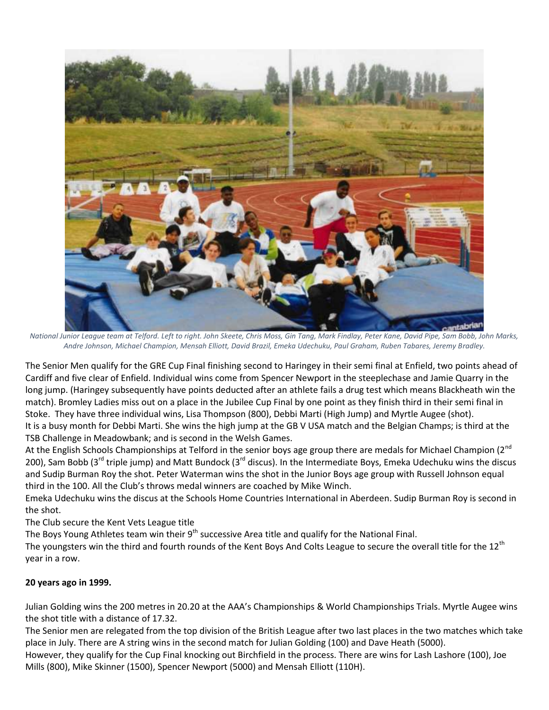

*National Junior League team at Telford. Left to right. John Skeete, Chris Moss, Gin Tang, Mark Findlay, Peter Kane, David Pipe, Sam Bobb, John Marks, Andre Johnson, Michael Champion, Mensah Elliott, David Brazil, Emeka Udechuku, Paul Graham, Ruben Tabares, Jeremy Bradley.*

The Senior Men qualify for the GRE Cup Final finishing second to Haringey in their semi final at Enfield, two points ahead of Cardiff and five clear of Enfield. Individual wins come from Spencer Newport in the steeplechase and Jamie Quarry in the long jump. (Haringey subsequently have points deducted after an athlete fails a drug test which means Blackheath win the match). Bromley Ladies miss out on a place in the Jubilee Cup Final by one point as they finish third in their semi final in Stoke. They have three individual wins, Lisa Thompson (800), Debbi Marti (High Jump) and Myrtle Augee (shot). It is a busy month for Debbi Marti. She wins the high jump at the GB V USA match and the Belgian Champs; is third at the TSB Challenge in Meadowbank; and is second in the Welsh Games.

At the English Schools Championships at Telford in the senior boys age group there are medals for Michael Champion (2<sup>nd</sup> 200), Sam Bobb (3<sup>rd</sup> triple jump) and Matt Bundock (3<sup>rd</sup> discus). In the Intermediate Boys, Emeka Udechuku wins the discus and Sudip Burman Roy the shot. Peter Waterman wins the shot in the Junior Boys age group with Russell Johnson equal third in the 100. All the Club's throws medal winners are coached by Mike Winch.

Emeka Udechuku wins the discus at the Schools Home Countries International in Aberdeen. Sudip Burman Roy is second in the shot.

The Club secure the Kent Vets League title

The Boys Young Athletes team win their 9<sup>th</sup> successive Area title and qualify for the National Final.

The youngsters win the third and fourth rounds of the Kent Boys And Colts League to secure the overall title for the 12<sup>th</sup> year in a row.

# **20 years ago in 1999.**

Julian Golding wins the 200 metres in 20.20 at the AAA's Championships & World Championships Trials. Myrtle Augee wins the shot title with a distance of 17.32.

The Senior men are relegated from the top division of the British League after two last places in the two matches which take place in July. There are A string wins in the second match for Julian Golding (100) and Dave Heath (5000).

However, they qualify for the Cup Final knocking out Birchfield in the process. There are wins for Lash Lashore (100), Joe Mills (800), Mike Skinner (1500), Spencer Newport (5000) and Mensah Elliott (110H).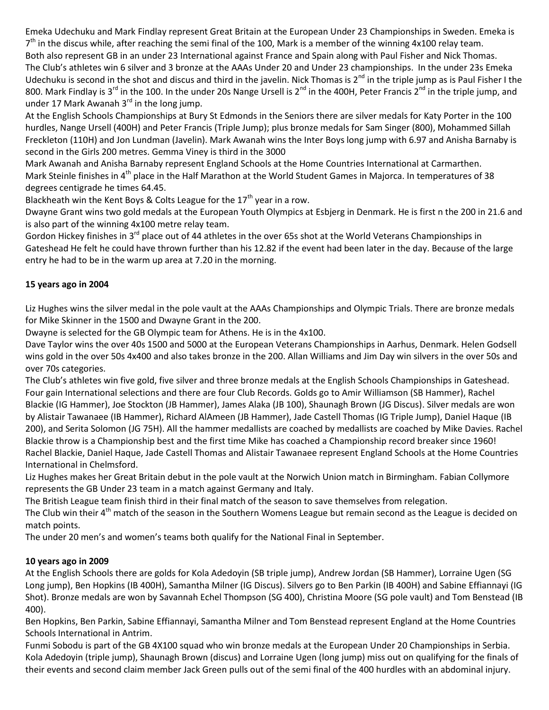Emeka Udechuku and Mark Findlay represent Great Britain at the European Under 23 Championships in Sweden. Emeka is 7<sup>th</sup> in the discus while, after reaching the semi final of the 100, Mark is a member of the winning 4x100 relay team.

Both also represent GB in an under 23 International against France and Spain along with Paul Fisher and Nick Thomas. The Club's athletes win 6 silver and 3 bronze at the AAAs Under 20 and Under 23 championships. In the under 23s Emeka Udechuku is second in the shot and discus and third in the javelin. Nick Thomas is  $2^{nd}$  in the triple jump as is Paul Fisher I the 800. Mark Findlay is 3<sup>rd</sup> in the 100. In the under 20s Nange Ursell is 2<sup>nd</sup> in the 400H, Peter Francis 2<sup>nd</sup> in the triple jump, and under 17 Mark Awanah  $3<sup>rd</sup>$  in the long jump.

At the English Schools Championships at Bury St Edmonds in the Seniors there are silver medals for Katy Porter in the 100 hurdles, Nange Ursell (400H) and Peter Francis (Triple Jump); plus bronze medals for Sam Singer (800), Mohammed Sillah Freckleton (110H) and Jon Lundman (Javelin). Mark Awanah wins the Inter Boys long jump with 6.97 and Anisha Barnaby is second in the Girls 200 metres. Gemma Viney is third in the 3000

Mark Awanah and Anisha Barnaby represent England Schools at the Home Countries International at Carmarthen. Mark Steinle finishes in 4<sup>th</sup> place in the Half Marathon at the World Student Games in Majorca. In temperatures of 38 degrees centigrade he times 64.45.

Blackheath win the Kent Boys & Colts League for the  $17<sup>th</sup>$  year in a row.

Dwayne Grant wins two gold medals at the European Youth Olympics at Esbjerg in Denmark. He is first n the 200 in 21.6 and is also part of the winning 4x100 metre relay team.

Gordon Hickey finishes in 3<sup>rd</sup> place out of 44 athletes in the over 65s shot at the World Veterans Championships in Gateshead He felt he could have thrown further than his 12.82 if the event had been later in the day. Because of the large entry he had to be in the warm up area at 7.20 in the morning.

# **15 years ago in 2004**

Liz Hughes wins the silver medal in the pole vault at the AAAs Championships and Olympic Trials. There are bronze medals for Mike Skinner in the 1500 and Dwayne Grant in the 200.

Dwayne is selected for the GB Olympic team for Athens. He is in the 4x100.

Dave Taylor wins the over 40s 1500 and 5000 at the European Veterans Championships in Aarhus, Denmark. Helen Godsell wins gold in the over 50s 4x400 and also takes bronze in the 200. Allan Williams and Jim Day win silvers in the over 50s and over 70s categories.

The Club's athletes win five gold, five silver and three bronze medals at the English Schools Championships in Gateshead. Four gain International selections and there are four Club Records. Golds go to Amir Williamson (SB Hammer), Rachel Blackie (IG Hammer), Joe Stockton (JB Hammer), James Alaka (JB 100), Shaunagh Brown (JG Discus). Silver medals are won by Alistair Tawanaee (IB Hammer), Richard AlAmeen (JB Hammer), Jade Castell Thomas (IG Triple Jump), Daniel Haque (IB 200), and Serita Solomon (JG 75H). All the hammer medallists are coached by medallists are coached by Mike Davies. Rachel Blackie throw is a Championship best and the first time Mike has coached a Championship record breaker since 1960! Rachel Blackie, Daniel Haque, Jade Castell Thomas and Alistair Tawanaee represent England Schools at the Home Countries International in Chelmsford.

Liz Hughes makes her Great Britain debut in the pole vault at the Norwich Union match in Birmingham. Fabian Collymore represents the GB Under 23 team in a match against Germany and Italy.

The British League team finish third in their final match of the season to save themselves from relegation. The Club win their 4<sup>th</sup> match of the season in the Southern Womens League but remain second as the League is decided on match points.

The under 20 men's and women's teams both qualify for the National Final in September.

# **10 years ago in 2009**

At the English Schools there are golds for Kola Adedoyin (SB triple jump), Andrew Jordan (SB Hammer), Lorraine Ugen (SG Long jump), Ben Hopkins (IB 400H), Samantha Milner (IG Discus). Silvers go to Ben Parkin (IB 400H) and Sabine Effiannayi (IG Shot). Bronze medals are won by Savannah Echel Thompson (SG 400), Christina Moore (SG pole vault) and Tom Benstead (IB 400).

Ben Hopkins, Ben Parkin, Sabine Effiannayi, Samantha Milner and Tom Benstead represent England at the Home Countries Schools International in Antrim.

Funmi Sobodu is part of the GB 4X100 squad who win bronze medals at the European Under 20 Championships in Serbia. Kola Adedoyin (triple jump), Shaunagh Brown (discus) and Lorraine Ugen (long jump) miss out on qualifying for the finals of their events and second claim member Jack Green pulls out of the semi final of the 400 hurdles with an abdominal injury.